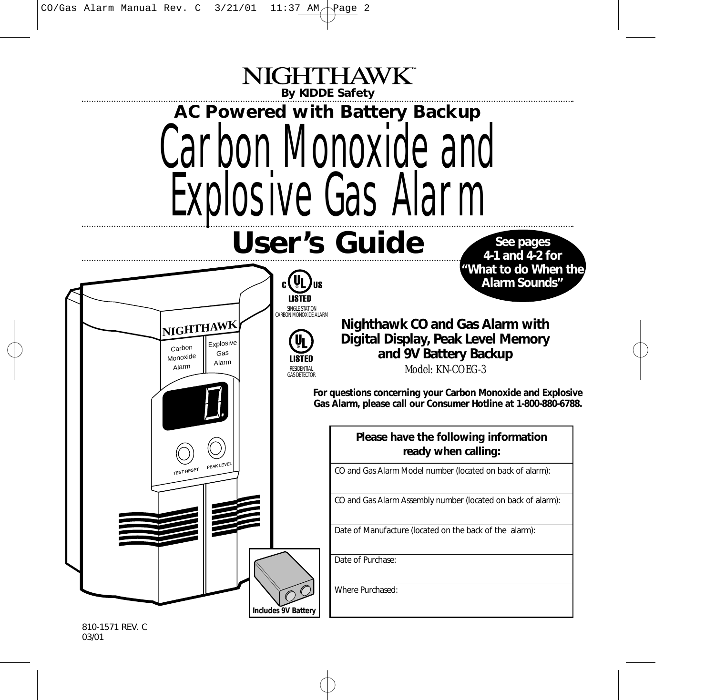

810-1571 REV. C 03/01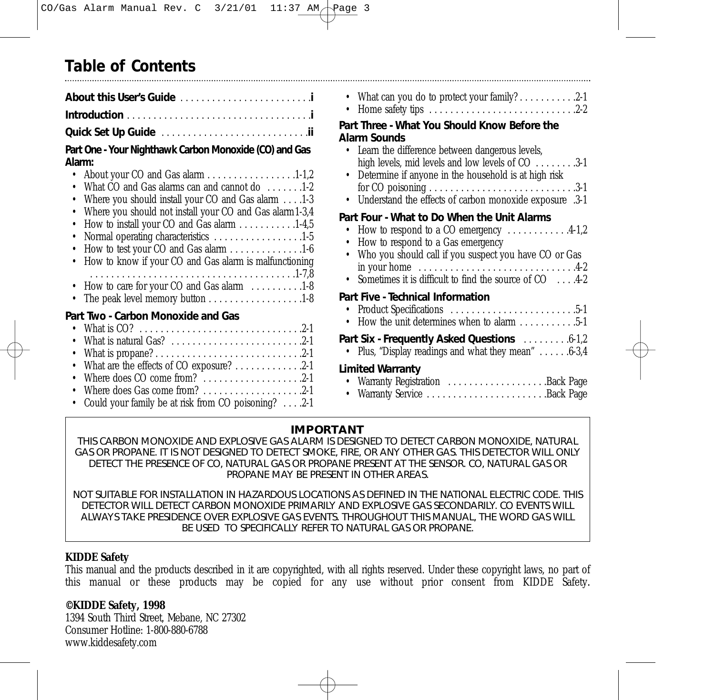# **Table of Contents**

### **Part One - Your Nighthawk Carbon Monoxide (CO) and Gas Alarm:**

| • About your CO and Gas alarm 1-1,2                                                    |
|----------------------------------------------------------------------------------------|
| • What CO and Gas alarms can and cannot do 1-2                                         |
| • Where you should install your CO and Gas alarm 1-3                                   |
| • Where you should not install your CO and Gas alarm 1-3,4                             |
| • How to install your CO and Gas alarm 1-4,5                                           |
| • Normal operating characteristics 1-5                                                 |
| • How to test your CO and Gas alarm 1-6                                                |
| • How to know if your CO and Gas alarm is malfunctioning                               |
|                                                                                        |
| • How to care for your CO and Gas alarm $\dots \dots \dots \dots$                      |
| • The peak level memory button 1-8                                                     |
| Part Two - Carbon Monoxide and Gas                                                     |
|                                                                                        |
| • What is natural Gas? $\ldots$ , $\ldots$ , $\ldots$ , $\ldots$ , $\ldots$ , $\ldots$ |
|                                                                                        |

- Where does CO come from? . . . . . . . . . . . . . . . . . . .2-1
- Where does Gas come from? . . . . . . . . . . . . . . . . . . .2-1
- Could your family be at risk from CO poisoning? . . . .2-1

| • What can you do to protect your family? 2-1<br>Part Three - What You Should Know Before the<br><b>Alarm Sounds</b><br>• Learn the difference between dangerous levels,<br>high levels, mid levels and low levels of CO 3-1<br>• Determine if anyone in the household is at high risk<br>• Understand the effects of carbon monoxide exposure .3-1           |
|---------------------------------------------------------------------------------------------------------------------------------------------------------------------------------------------------------------------------------------------------------------------------------------------------------------------------------------------------------------|
| Part Four - What to Do When the Unit Alarms<br>• How to respond to a CO emergency $\dots \dots \dots 4-1,2$<br>• How to respond to a Gas emergency<br>• Who you should call if you suspect you have CO or Gas<br>in your home $\dots \dots \dots \dots \dots \dots \dots \dots \dots \dots \dots$<br>• Sometimes it is difficult to find the source of CO 4-2 |
| Part Five - Technical Information<br>• How the unit determines when to alarm 5-1<br>Part Six - Frequently Asked Questions  6-1,2<br>Plus, "Display readings and what they mean" 6-3,4<br><b>Limited Warranty</b>                                                                                                                                              |
| • Warranty Registration Back Page<br>• Warranty Service Back Page                                                                                                                                                                                                                                                                                             |

## **IMPORTANT**

THIS CARBON MONOXIDE AND EXPLOSIVE GAS ALARM IS DESIGNED TO DETECT CARBON MONOXIDE, NATURAL GAS OR PROPANE. IT IS NOT DESIGNED TO DETECT SMOKE, FIRE, OR ANY OTHER GAS. THIS DETECTOR WILL ONLY DETECT THE PRESENCE OF CO, NATURAL GAS OR PROPANE PRESENT AT THE SENSOR. CO, NATURAL GAS OR PROPANE MAY BE PRESENT IN OTHER AREAS.

NOT SUITABLE FOR INSTALLATION IN HAZARDOUS LOCATIONS AS DEFINED IN THE NATIONAL ELECTRIC CODE. THIS DETECTOR WILL DETECT CARBON MONOXIDE PRIMARILY AND EXPLOSIVE GAS SECONDARILY. CO EVENTS WILL ALWAYS TAKE PRESIDENCE OVER EXPLOSIVE GAS EVENTS. THROUGHOUT THIS MANUAL, THE WORD GAS WILL BE USED TO SPECIFICALLY REFER TO NATURAL GAS OR PROPANE.

### **KIDDE Safety**

This manual and the products described in it are copyrighted, with all rights reserved. Under these copyright laws, no part of this manual or these products may be copied for any use without prior consent from KIDDE Safety.

## **©KIDDE Safety, 1998**

1394 South Third Street, Mebane, NC 27302 Consumer Hotline: 1-800-880-6788 www.kiddesafety.com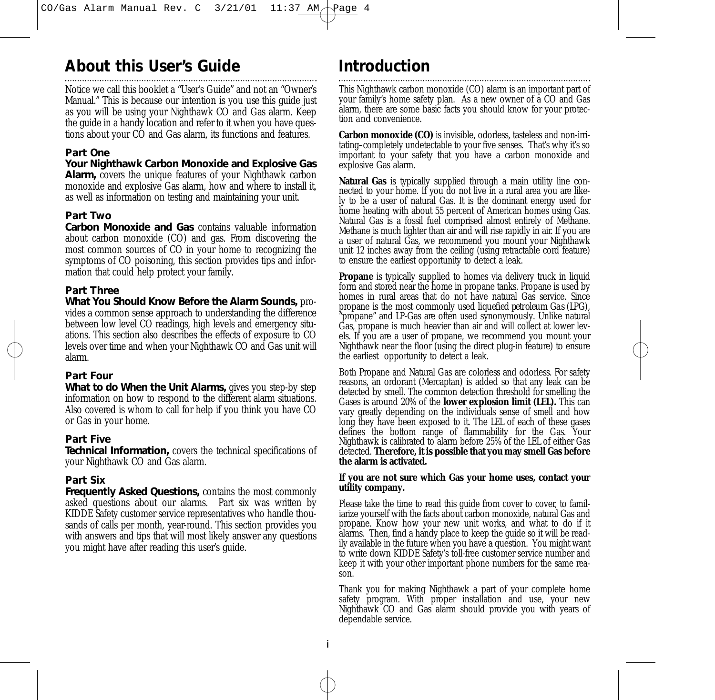# **About this User's Guide**

Notice we call this booklet a "User's Guide" and not an "Owner's Manual." This is because our intention is you *use* this guide just as you will be using your Nighthawk CO and Gas alarm. Keep the guide in a handy location and refer to it when you have questions about your CO and Gas alarm, its functions and features.

#### **Part One**

#### *Your Nighthawk Carbon Monoxide and Explosive Gas*

*Alarm,* covers the unique features of your Nighthawk carbon monoxide and explosive Gas alarm, how and where to install it, as well as information on testing and maintaining your unit.

### **Part Two**

*Carbon Monoxide and Gas* contains valuable information about carbon monoxide (CO) and gas. From discovering the most common sources of CO in your home to recognizing the symptoms of CO poisoning, this section provides tips and information that could help protect your family.

### **Part Three**

*What You Should Know Before the Alarm Sounds,* provides a common sense approach to understanding the difference between low level CO readings, high levels and emergency situations. This section also describes the effects of exposure to CO levels over time and when your Nighthawk CO and Gas unit will alarm.

### **Part Four**

*What to do When the Unit Alarms,* gives you step-by step information on how to respond to the different alarm situations. Also covered is whom to call for help if you think you have CO or Gas in your home.

#### **Part Five**

*Technical Information*, covers the technical specifications of your Nighthawk CO and Gas alarm.

### **Part Six**

*Frequently Asked Questions, contains the most commonly* asked questions about our alarms. Part six was written by KIDDE Safety customer service representatives who handle thousands of calls per month, year-round. This section provides you with answers and tips that will most likely answer any questions you might have after reading this user's guide.

# **Introduction**

This Nighthawk carbon monoxide (CO) alarm is an important part of your family's home safety plan. As a new owner of a CO and Gas alarm, there are some basic facts you should know for your protection *and* convenience.

**Carbon monoxide (CO)** is invisible, odorless, tasteless and non-irritating–completely undetectable to your five senses. That's why it's so important to your safety that you have a carbon monoxide and explosive Gas alarm.

**Natural Gas** is typically supplied through a main utility line connected to your home. If you do not live in a rural area you are likely to be a user of natural Gas. It is the dominant energy used for home heating with about 55 percent of American homes using Gas. Natural Gas is a fossil fuel comprised almost entirely of Methane. Methane is much lighter than air and will rise rapidly in air. If you are a user of natural Gas, we recommend you mount your Nighthawk unit 12 inches away from the ceiling (using retractable cord feature) to ensure the earliest opportunity to detect a leak.

**Propane** is typically supplied to homes via delivery truck in liquid form and stored near the home in propane tanks. Propane is used by homes in rural areas that do not have natural Gas service. Since propane is the most commonly used *liquefied petroleum Gas (LPG),* "propane" and LP-Gas are often used synonymously. Unlike natural Gas, propane is much heavier than air and will collect at lower levels. If you are a user of propane, we recommend you mount your Nighthawk near the floor (using the direct plug-in feature) to ensure the earliest opportunity to detect a leak.

Both Propane and Natural Gas are colorless and odorless. For safety reasons, an ordorant (Mercaptan) is added so that any leak can be detected by smell. The common detection threshold for smelling the Gases is around 20% of the **lower explosion limit (LEL).** This can vary greatly depending on the individuals sense of smell and how long they have been exposed to it. The LEL of each of these gases defines the bottom range of flammability for the Gas. Your Nighthawk is calibrated to alarm before 25% of the LEL of either Gas detected. **Therefore, it is possible that you may smell Gas before the alarm is activated.**

#### **If you are not sure which Gas your home uses, contact your utility company.**

Please take the time to read this guide from cover to cover, to familiarize yourself with the facts about carbon monoxide, natural Gas and propane. Know how your new unit works, and what to do if it alarms. Then, find a handy place to keep the guide so it will be readily available in the future when you have a question. You might want to write down KIDDE Safety's toll-free customer service number and keep it with your other important phone numbers for the same reason.

Thank you for making Nighthawk a part of your complete home safety program. With proper installation and use, your new Nighthawk CO and Gas alarm should provide you with years of dependable service.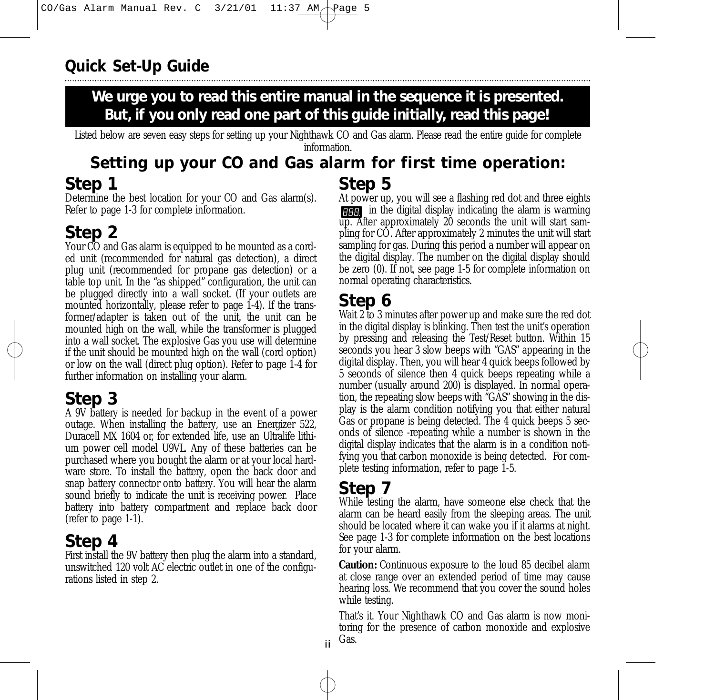**We urge you to read this entire manual in the sequence it is presented. But, if you only read one part of this guide initially, read this page!**

Listed below are seven easy steps for setting up your Nighthawk CO and Gas alarm. Please read the entire guide for complete information.

## **Step 1 Step 5 Setting up your CO and Gas alarm for first time operation:**

Determine the best location for your CO and Gas alarm(s). Refer to page 1-3 for complete information.

# **Step 2**

Your CO and Gas alarm is equipped to be mounted as a corded unit (recommended for natural gas detection), a direct plug unit (recommended for propane gas detection) or a table top unit. In the "as shipped" configuration, the unit can be plugged directly into a wall socket. (If your outlets are mounted horizontally, please refer to page 1-4). If the transformer/adapter is taken out of the unit, the unit can be mounted high on the wall, while the transformer is plugged into a wall socket. The explosive Gas you use will determine if the unit should be mounted high on the wall (cord option) or low on the wall (direct plug option). Refer to page 1-4 for further information on installing your alarm.

# **Step 3**

A 9V battery is needed for backup in the event of a power outage. When installing the battery, use an Energizer 522, Duracell MX 1604 or, for extended life, use an Ultralife lithium power cell model U9VL. Any of these batteries can be purchased where you bought the alarm or at your local hardware store. To install the battery, open the back door and snap battery connector onto battery. You will hear the alarm sound briefly to indicate the unit is receiving power. Place battery into battery compartment and replace back door (refer to page 1-1).

# **Step 4**

First install the 9V battery then plug the alarm into a standard, unswitched 120 volt AC electric outlet in one of the configurations listed in step 2.

At power up, you will see a flashing red dot and three eights **FRICE** in the digital display indicating the alarm is warming up. After approximately 20 seconds the unit will start sampling for CO. After approximately 2 minutes the unit will start sampling for gas. During this period a number will appear on the digital display. The number on the digital display should be zero (0). If not, see page 1-5 for complete information on normal operating characteristics.

# **Step 6**

Wait 2 to 3 minutes after power up and make sure the red dot in the digital display is blinking. Then test the unit's operation by pressing and releasing the Test/Reset button. Within 15 seconds you hear 3 slow beeps with "GAS" appearing in the digital display. Then, you will hear 4 quick beeps followed by 5 seconds of silence then 4 quick beeps repeating while a number (usually around 200) is displayed. In normal operation, the repeating slow beeps with "GAS" showing in the display is the alarm condition notifying you that either natural Gas or propane is being detected. The 4 quick beeps 5 seconds of silence -repeating while a number is shown in the digital display indicates that the alarm is in a condition notifying you that carbon monoxide is being detected. For complete testing information, refer to page  $\overline{1}$ -5.

# **Step 7**

ii

While testing the alarm, have someone else check that the alarm can be heard easily from the sleeping areas. The unit should be located where it can wake you if it alarms at night. See page 1-3 for complete information on the best locations for your alarm.

**Caution:** Continuous exposure to the loud 85 decibel alarm at close range over an extended period of time may cause hearing loss. We recommend that you cover the sound holes while testing.

That's it. Your Nighthawk CO and Gas alarm is now monitoring for the presence of carbon monoxide and explosive Gas.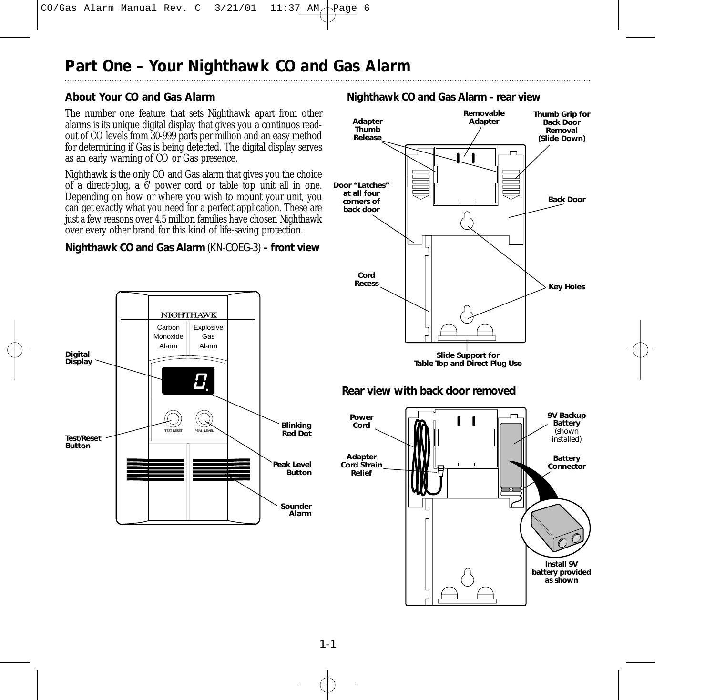## **About Your CO and Gas Alarm**

The number one feature that sets Nighthawk apart from other alarms is its unique digital display that gives you a continuos readout of CO levels from 30-999 parts per million and an easy method for determining if Gas is being detected. The digital display serves as an early warning of CO or Gas presence.

Nighthawk is the only CO and Gas alarm that gives you the choice of a direct-plug, a  $6'$  power cord or table top unit all in one. Depending on how or where you wish to mount your unit, you can get exactly what you need for a perfect application. These are just a few reasons over 4.5 million families have chosen Nighthawk over every other brand for this kind of life-saving protection.

### *Nighthawk CO and Gas Alarm (KN-COEG-3) – front view*





**battery provided as shown**

#### *Nighthawk CO and Gas Alarm – rear view*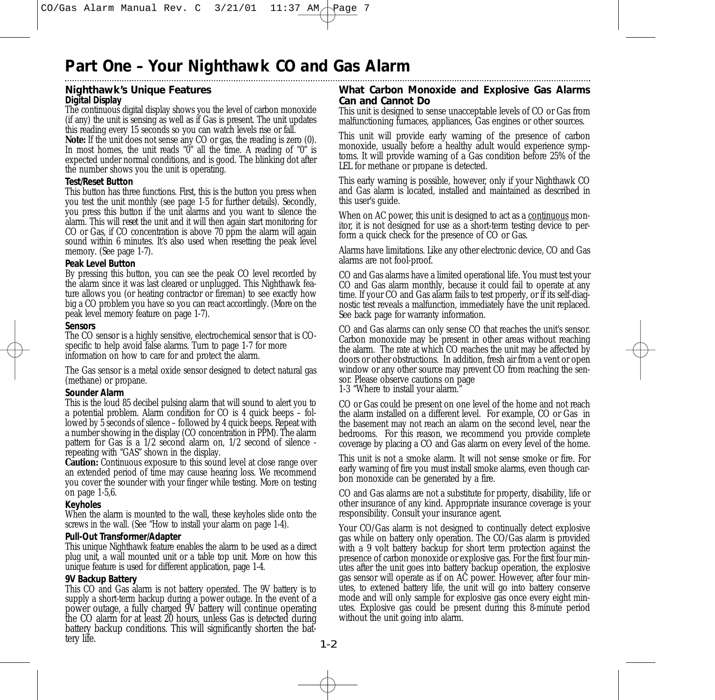# **Nighthawk's Unique Features**

#### *Digital Display*

The continuous digital display shows you the level of carbon monoxide (if any) the unit is sensing as well as if Gas is present. The unit updates this reading every 15 seconds so you can watch levels rise or fall.

**Note:** If the unit does not sense any CO or gas, the reading is zero (0). In most homes, the unit reads " $0$ " all the time. A reading of " $0$ " is expected under normal conditions, and is good. The blinking dot after the number shows you the unit is operating.

#### *Test/Reset Button*

This button has three functions. First, this is the button you press when you test the unit monthly (see page 1-5 for further details). Secondly, you press this button if the unit alarms and you want to silence the alarm. This will *reset* the unit and it will then again start monitoring for CO or Gas, if CO concentration is above 70 ppm the alarm will again sound within 6 minutes. It's also used when resetting the peak level memory. (See page 1-7).

#### *Peak Level Button*

By pressing this button, you can see the peak CO level recorded by the alarm since it was last cleared or unplugged. This Nighthawk feature allows you (or heating contractor or fireman) to see exactly how big a CO problem you have so you can react accordingly. (More on the peak level memory feature on page 1-7).

#### *Sensors*

The CO sensor is a highly sensitive, electrochemical sensor that is COspecific to help avoid false alarms. Turn to page 1-7 for more information on how to care for and protect the alarm.

The Gas sensor is a metal oxide sensor designed to detect natural gas (methane) or propane.

#### *Sounder Alarm*

This is the loud 85 decibel pulsing alarm that will sound to alert you to a potential problem. Alarm condition for CO is 4 quick beeps – followed by 5 seconds of silence – followed by 4 quick beeps. Repeat with a number showing in the display (CO concentration in PPM). The alarm pattern for Gas is a 1/2 second alarm on, 1/2 second of silence repeating with "GAS" shown in the display.

**Caution:** Continuous exposure to this sound level at close range over an extended period of time may cause hearing loss. We recommend you cover the sounder with your finger while testing. More on testing on page 1-5,6.

#### *Keyholes*

When the alarm is mounted to the wall, these keyholes slide onto the screws in the wall. (See "How to install your alarm on page 1-4).

#### *Pull-Out Transformer/Adapter*

This unique Nighthawk feature enables the alarm to be used as a direct plug unit, a wall mounted unit or a table top unit. More on how this unique feature is used for different application, page 1-4.

#### *9V Backup Battery*

This CO and Gas alarm is not battery operated. The 9V battery is to supply a short-term backup during a power outage. In the event of a power outage, a fully charged 9V battery will continue operating the CO alarm for at least 20 hours, unless Gas is detected during battery backup conditions. This will significantly shorten the battery life.

#### **What Carbon Monoxide and Explosive Gas Alarms Can and Cannot Do**

This unit is designed to sense unacceptable levels of CO or Gas from malfunctioning furnaces, appliances, Gas engines or other sources.

This unit will provide early warning of the presence of carbon monoxide, usually before a healthy adult would experience symptoms. It will provide warning of a Gas condition before 25% of the LEL for methane or propane is detected.

This early warning is possible, however, only if your Nighthawk CO and Gas alarm is located, installed and maintained as described in this user's guide.

When on AC power, this unit is designed to act as a continuous monitor, it is not designed for use as a short-term testing device to perform a quick check for the presence of CO or Gas.

Alarms have limitations. Like any other electronic device, CO and Gas alarms are not fool-proof.

CO and Gas alarms have a limited operational life. You must test your CO and Gas alarm monthly, because it could fail to operate at any time. If your CO and Gas alarm fails to test properly, or if its self-diagnostic test reveals a malfunction, immediately have the unit replaced. See back page for warranty information.

CO and Gas alarms can only sense CO that reaches the unit's sensor. Carbon monoxide may be present in other areas without reaching the alarm. The rate at which CO reaches the unit may be affected by doors or other obstructions. In addition, fresh air from a vent or open window or any other source may prevent CO from reaching the sensor. Please observe cautions on page

1-3 "Where to install your alarm."

CO or Gas could be present on one level of the home and not reach the alarm installed on a different level. For example, CO or Gas in the basement may not reach an alarm on the second level, near the bedrooms. For this reason, we recommend you provide complete coverage by placing a CO and Gas alarm on every level of the home.

This unit is not a smoke alarm. It will not sense smoke or fire. For early warning of fire you must install smoke alarms, even though carbon monoxide can be generated by a fire.

CO and Gas alarms are not a substitute for property, disability, life or other insurance of any kind. Appropriate insurance coverage is your responsibility. Consult your insurance agent.

Your CO/Gas alarm is not designed to continually detect explosive gas while on battery only operation. The CO/Gas alarm is provided with a 9 volt battery backup for short term protection against the presence of carbon monoxide or explosive gas. For the first four minutes after the unit goes into battery backup operation, the explosive gas sensor will operate as if on AC power. However, after four minutes, to extened battery life, the unit will go into battery conserve mode and will only sample for explosive gas once every eight minutes. Explosive gas could be present during this 8-minute period without the unit going into alarm.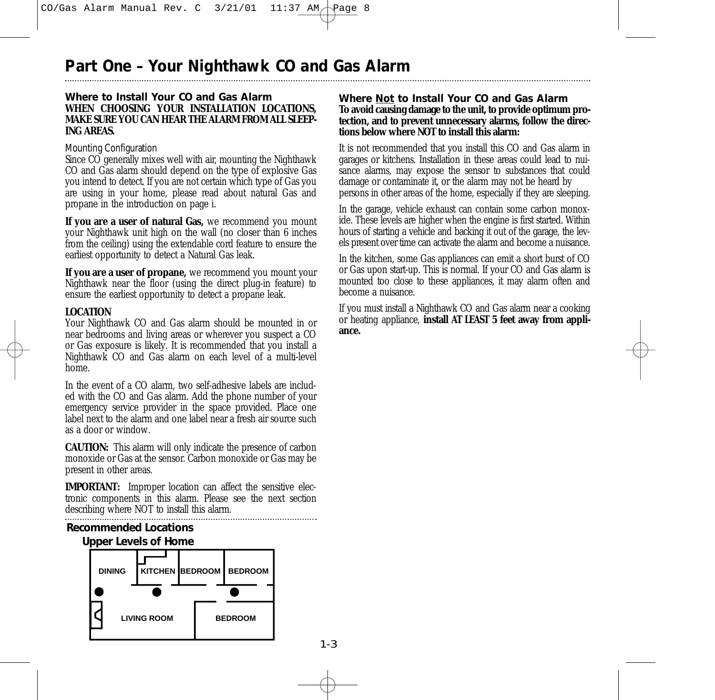#### **Where to Install Your CO and Gas Alarm WHEN CHOOSING YOUR INSTALLATION LOCATIONS, MAKE SURE YOU CAN HEAR THE ALARM FROM ALL SLEEP-ING AREAS.**

#### Mounting Configuration

Since CO generally mixes well with air, mounting the Nighthawk CO and Gas alarm should depend on the type of explosive Gas you intend to detect. If you are not certain which type of Gas you are using in your home, please read about natural Gas and propane in the introduction on page i.

**If you are a user of natural Gas,** we recommend you mount your Nighthawk unit high on the wall (no closer than 6 inches from the ceiling) using the extendable cord feature to ensure the earliest opportunity to detect a Natural Gas leak.

**If you are a user of propane,** we recommend you mount your Nighthawk near the floor (using the direct plug-in feature) to ensure the earliest opportunity to detect a propane leak.

#### **LOCATION**

Your Nighthawk CO and Gas alarm should be mounted in or near bedrooms and living areas or wherever you suspect a CO or Gas exposure is likely. It is recommended that you install a Nighthawk CO and Gas alarm on each level of a multi-level home.

In the event of a CO alarm, two self-adhesive labels are included with the CO and Gas alarm. Add the phone number of your emergency service provider in the space provided. Place one label next to the alarm and one label near a fresh air source such as a door or window.

**CAUTION:** This alarm will only indicate the presence of carbon monoxide or Gas at the sensor. Carbon monoxide or Gas may be present in other areas.

**IMPORTANT:** Improper location can affect the sensitive electronic components in this alarm. Please see the next section describing where NOT to install this alarm.



#### **Where Not to Install Your CO and Gas Alarm To avoid causing damage to the unit, to provide optimum protection, and to prevent unnecessary alarms, follow the directions below where NOT to install this alarm:**

It is not recommended that you install this CO and Gas alarm in garages or kitchens. Installation in these areas could lead to nuisance alarms, may expose the sensor to substances that could damage or contaminate it, or the alarm may not be heard by persons in other areas of the home, especially if they are sleeping.

In the garage, vehicle exhaust can contain some carbon monoxide. These levels are higher when the engine is first started. Within hours of starting a vehicle and backing it out of the garage, the levels present over time can activate the alarm and become a nuisance.

In the kitchen, some Gas appliances can emit a short burst of CO or Gas upon start-up. This is normal. If your CO and Gas alarm is mounted too close to these appliances, it may alarm often and become a nuisance.

If you must install a Nighthawk CO and Gas alarm near a cooking or heating appliance, **install AT LEAST 5 feet away from appliance.**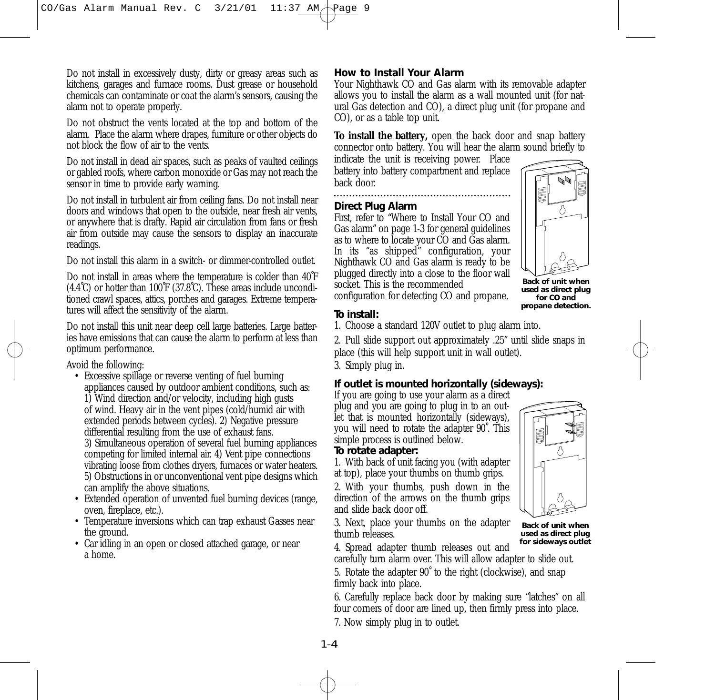Do not install in excessively dusty, dirty or greasy areas such as kitchens, garages and furnace rooms. Dust grease or household chemicals can contaminate or coat the alarm's sensors, causing the alarm not to operate properly.

Do not obstruct the vents located at the top and bottom of the alarm. Place the alarm where drapes, furniture or other objects do not block the flow of air to the vents.

Do not install in dead air spaces, such as peaks of vaulted ceilings or gabled roofs, where carbon monoxide or Gas may not reach the sensor in time to provide early warning.

Do not install in turbulent air from ceiling fans. Do not install near doors and windows that open to the outside, near fresh air vents, or anywhere that is drafty. Rapid air circulation from fans or fresh air from outside may cause the sensors to display an inaccurate readings.

Do not install this alarm in a switch- or dimmer-controlled outlet.

Do not install in areas where the temperature is colder than 40˚F  $(4.4°C)$  or hotter than 100°F (37.8°C). These areas include unconditioned crawl spaces, attics, porches and garages. Extreme temperatures will affect the sensitivity of the alarm.

Do not install this unit near deep cell large batteries. Large batteries have emissions that can cause the alarm to perform at less than optimum performance.

Avoid the following:

- Excessive spillage or reverse venting of fuel burning appliances caused by outdoor ambient conditions, such as: 1) Wind direction and/or velocity, including high gusts of wind. Heavy air in the vent pipes (cold/humid air with extended periods between cycles). 2) Negative pressure differential resulting from the use of exhaust fans. 3) Simultaneous operation of several fuel burning appliances competing for limited internal air. 4) Vent pipe connections vibrating loose from clothes dryers, furnaces or water heaters. 5) Obstructions in or unconventional vent pipe designs which can amplify the above situations.
- Extended operation of unvented fuel burning devices (range, oven, fireplace, etc.).
- Temperature inversions which can trap exhaust Gasses near the ground.
- Car idling in an open or closed attached garage, or near a home.

# **How to Install Your Alarm**

Your Nighthawk CO and Gas alarm with its removable adapter allows you to install the alarm as a wall mounted unit (for natural Gas detection and CO), a direct plug unit (for propane and CO), or as a table top unit.

**To install the battery,** open the back door and snap battery connector onto battery. You will hear the alarm sound briefly to

indicate the unit is receiving power. Place battery into battery compartment and replace back door. 

# **Direct Plug Alarm**

First, refer to "Where to Install Your CO and Gas alarm" on page 1-3 for general guidelines as to where to locate your CO and Gas alarm. In its "as shipped" configuration, your Nighthawk CO and Gas alarm is ready to be plugged directly into a close to the floor wall socket. This is the recommended configuration for detecting CO and propane.



**Back of unit when used as direct plug for CO and propane detection.**

### **To install:**

1. Choose a standard 120V outlet to plug alarm into.

2. Pull slide support out approximately .25" until slide snaps in place (this will help support unit in wall outlet).

3. Simply plug in.

# **If outlet is mounted horizontally (sideways):**

If you are going to use your alarm as a direct plug and you are going to plug in to an outlet that is mounted horizontally (sideways), you will need to rotate the adapter 90˚. This simple process is outlined below.

### **To rotate adapter:**

1. With back of unit facing you (with adapter at top), place your thumbs on thumb grips.

2. With your thumbs, push down in the direction of the arrows on the thumb grips and slide back door off.

3. Next, place your thumbs on the adapter thumb releases.



**Back of unit when used as direct plug for sideways outlet**

4. Spread adapter thumb releases out and

carefully turn alarm over. This will allow adapter to slide out.

5. Rotate the adapter 90˚ to the right (clockwise), and snap firmly back into place.

6. Carefully replace back door by making sure "latches" on all four corners of door are lined up, then firmly press into place. 7. Now simply plug in to outlet.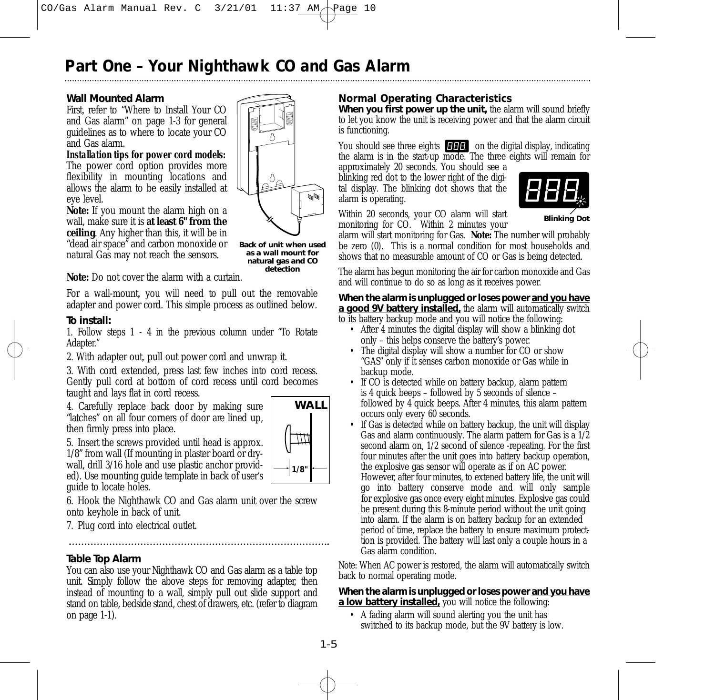#### **Wall Mounted Alarm**

First, refer to "Where to Install Your CO and Gas alarm" on page 1-3 for general guidelines as to where to locate your CO and Gas alarm.

*Installation tips for power cord models:* The power cord option provides more flexibility in mounting locations and allows the alarm to be easily installed at eye level.

**Note:** If you mount the alarm high on a wall, make sure it is **at least 6" from the ceiling**. Any higher than this, it will be in "dead air space" and carbon monoxide or natural Gas may not reach the sensors.

**Back of unit when used as a wall mount for natural gas and CO detection**

D.

Δ

**Note:** Do not cover the alarm with a curtain.

For a wall-mount, you will need to pull out the removable adapter and power cord. This simple process as outlined below.

#### **To install:**

1. Follow steps 1 - 4 in the previous column under "To Rotate Adapter."

2. With adapter out, pull out power cord and unwrap it.

3. With cord extended, press last few inches into cord recess. Gently pull cord at bottom of cord recess until cord becomes taught and lays flat in cord recess.

4. Carefully replace back door by making sure "latches" on all four corners of door are lined up, then firmly press into place.



5. Insert the screws provided until head is approx. 1/8" from wall (If mounting in plaster board or drywall, drill 3/16 hole and use plastic anchor provided). Use mounting guide template in back of user's guide to locate holes.

6. Hook the Nighthawk CO and Gas alarm unit over the screw onto keyhole in back of unit.

7. Plug cord into electrical outlet.

# **Table Top Alarm**

You can also use your Nighthawk CO and Gas alarm as a table top unit. Simply follow the above steps for removing adapter, then instead of mounting to a wall, simply pull out slide support and stand on table, bedside stand, chest of drawers, etc. (refer to diagram on page 1-1).

## **Normal Operating Characteristics**

*When you first power up the unit,* the alarm will sound briefly to let you know the unit is receiving power and that the alarm circuit is functioning.

You should see three eights **CHH** on the digital display, indicating the alarm is in the start-up mode. The three eights will remain for

approximately 20 seconds. You should see a blinking red dot to the lower right of the digital display. The blinking dot shows that the alarm is operating.



Within 20 seconds, your CO alarm will start monitoring for CO. Within 2 minutes your

alarm will start monitoring for Gas. **Note:** The number will probably be zero (0). This is a normal condition for most households and shows that no measurable amount of CO or Gas is being detected.

The alarm has begun monitoring the air for carbon monoxide and Gas and will continue to do so as long as it receives power.

#### *When the alarm is unplugged or loses power and you have a good 9V battery installed,* the alarm will automatically switch

to its battery backup mode and you will notice the following:

- After 4 minutes the digital display will show a blinking dot only – this helps conserve the battery's power.
- The digital display will show a number for CO or show "GAS" only if it senses carbon monoxide or Gas while in backup mode.
- If CO is detected while on battery backup, alarm pattern is 4 quick beeps – followed by 5 seconds of silence – followed by 4 quick beeps. After 4 minutes, this alarm pattern occurs only every 60 seconds.
- If Gas is detected while on battery backup, the unit will display Gas and alarm continuously. The alarm pattern for Gas is a 1/2 second alarm on, 1/2 second of silence -repeating. For the first four minutes after the unit goes into battery backup operation, the explosive gas sensor will operate as if on AC power.

However, after four minutes, to extened battery life, the unit will go into battery conserve mode and will only sample for explosive gas once every eight minutes. Explosive gas could be present during this 8-minute period without the unit going into alarm. If the alarm is on battery backup for an extended period of time, replace the battery to ensure maximum protecttion is provided. The battery will last only a couple hours in a Gas alarm condition.

Note: When AC power is restored, the alarm will automatically switch back to normal operating mode.

#### *When the alarm is unplugged or loses power and you have a low battery installed,* you will notice the following:

• A fading alarm will sound alerting you the unit has switched to its backup mode, but the 9V battery is low.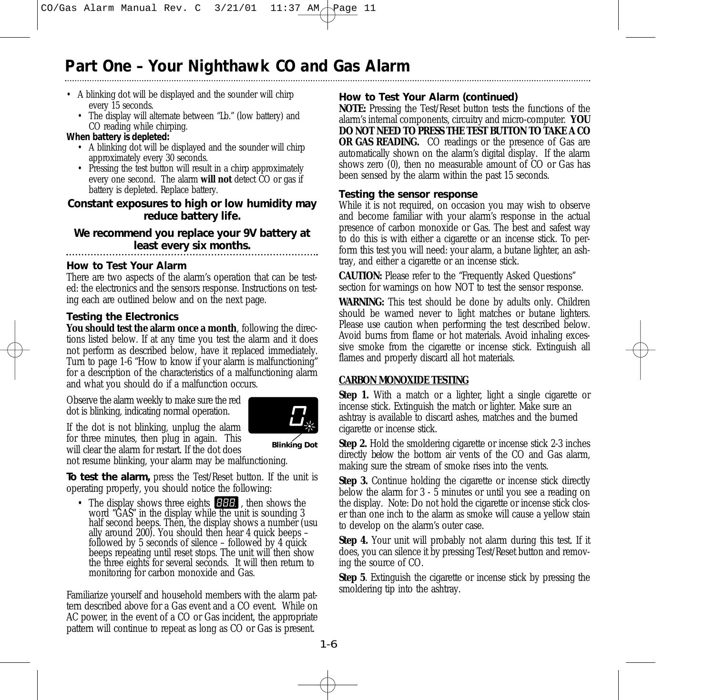- A blinking dot will be displayed and the sounder will chirp every 15 seconds.
	- The display will alternate between "Lb." (low battery) and CO reading while chirping.

#### *When battery is depleted:*

- A blinking dot will be displayed and the sounder will chirp approximately every 30 seconds.
- Pressing the test button will result in a chirp approximately every one second. The alarm **will not** detect CO or gas if battery is depleted. Replace battery.

### *Constant exposures to high or low humidity may reduce battery life.*

*We recommend you replace your 9V battery at least every six months.*

#### **How to Test Your Alarm**

There are two aspects of the alarm's operation that can be tested: the electronics and the sensors response. Instructions on testing each are outlined below and on the next page.

### **Testing the Electronics**

You should test the alarm once a month, following the directions listed below. If at any time you test the alarm and it does not perform as described below, have it replaced immediately. Turn to page 1-6 "How to know if your alarm is malfunctioning" for a description of the characteristics of a malfunctioning alarm and what you should do if a malfunction occurs.

Observe the alarm weekly to make sure the red dot is blinking, indicating normal operation.

If the dot is not blinking, unplug the alarm for three minutes, then plug in again. This



will clear the alarm for restart. If the dot does

**Blinking Dot**

not resume blinking, your alarm may be malfunctioning.

*To test the alarm,* press the Test/Reset button. If the unit is operating properly, you should notice the following:

• The display shows three eights **FHF**, then shows the word "GAS" in the display while the unit is sounding 3 half second beeps. Then, the display shows a number (usu ally around 200). You should then hear 4 quick beeps – followed by 5 seconds of silence – followed by 4 quick beeps repeating until reset stops. The unit will then show the three eights for several seconds. It will then return to monitoring for carbon monoxide and Gas.

Familiarize yourself and household members with the alarm pattern described above for a Gas event and a CO event. While on AC power, in the event of a CO or Gas incident, the appropriate pattern will continue to repeat as long as CO or Gas is present.

# **How to Test Your Alarm (continued)**

**NOTE:** Pressing the Test/Reset button tests the functions of the alarm's internal components, circuitry and micro-computer. **YOU DO NOT NEED TO PRESS THE TEST BUTTON TO TAKE A CO OR GAS READING.** CO readings or the presence of Gas are automatically shown on the alarm's digital display. If the alarm shows zero  $(0)$ , then no measurable amount of  $CO$  or Gas has been sensed by the alarm within the past 15 seconds.

#### **Testing the sensor response**

While it is not required, on occasion you may wish to observe and become familiar with your alarm's response in the actual presence of carbon monoxide or Gas. The best and safest way to do this is with either a cigarette or an incense stick. To perform this test you will need: your alarm, a butane lighter, an ashtray, and either a cigarette or an incense stick.

**CAUTION:** Please refer to the "Frequently Asked Questions" section for warnings on how NOT to test the sensor response.

**WARNING:** This test should be done by adults only. Children should be warned never to light matches or butane lighters. Please use caution when performing the test described below. Avoid burns from flame or hot materials. Avoid inhaling excessive smoke from the cigarette or incense stick. Extinguish all flames and properly discard all hot materials.

#### **CARBON MONOXIDE TESTING**

**Step 1.** With a match or a lighter, light a single cigarette or incense stick. Extinguish the match or lighter. Make sure an ashtray is available to discard ashes, matches and the burned cigarette or incense stick.

**Step 2.** Hold the smoldering cigarette or incense stick 2-3 inches directly *below* the bottom air vents of the CO and Gas alarm, making sure the stream of smoke rises into the vents.

**Step 3.** Continue holding the cigarette or incense stick directly below the alarm for  $3 - 5$  minutes or until you see a reading on the display. Note: Do not hold the cigarette or incense stick closer than one inch to the alarm as smoke *will* cause a yellow stain to develop on the alarm's outer case.

**Step 4.** Your unit will probably not alarm during this test. If it does, you can silence it by pressing Test/Reset button and removing the source of CO.

**Step 5**. Extinguish the cigarette or incense stick by pressing the smoldering tip into the ashtray.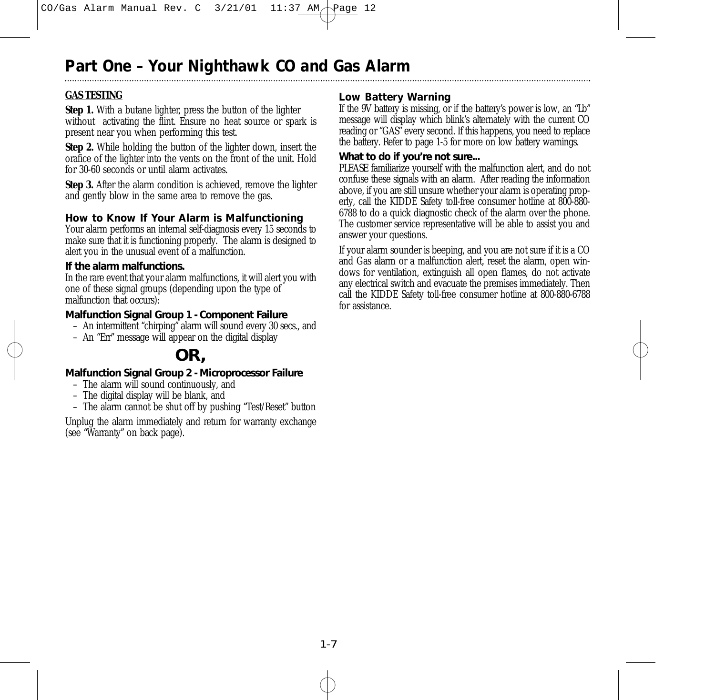### **GAS TESTING**

**Step 1.** With a butane lighter, press the button of the lighter without activating the flint. Ensure no heat source or spark is present near you when performing this test.

**Step 2.** While holding the button of the lighter down, insert the orafice of the lighter into the vents on the front of the unit. Hold for 30-60 seconds or until alarm activates.

**Step 3.** After the alarm condition is achieved, remove the lighter and gently blow in the same area to remove the gas.

### **How to Know If Your Alarm is Malfunctioning**

Your alarm performs an internal self-diagnosis every 15 seconds to make sure that it is functioning properly. The alarm is designed to alert you in the unusual event of a malfunction.

#### **If the alarm malfunctions.**

In the rare event that your alarm malfunctions, it will alert you with one of these signal groups (depending upon the type of malfunction that occurs):

#### **Malfunction Signal Group 1 - Component Failure**

- An intermittent "chirping" alarm will sound every 30 secs., and
- An "Err" message will appear on the digital display

# **OR,**

#### **Malfunction Signal Group 2 - Microprocessor Failure**

- The alarm will sound continuously, and
- The digital display will be blank, and
- The alarm cannot be shut off by pushing "Test/Reset" button

Unplug the alarm immediately and return for warranty exchange (see "Warranty" on back page).

### **Low Battery Warning**

If the 9V battery is missing, or if the battery's power is low, an "Lb" message will display which blink's alternately with the current CO reading or "GAS" every second. If this happens, you need to replace the battery. Refer to page 1-5 for more on low battery warnings.

#### **What to do if you're not sure...**

PLEASE familiarize yourself with the malfunction alert, and do not confuse these signals with an alarm. After reading the information above, if you are still unsure whether your alarm is operating properly, call the KIDDE Safety toll-free consumer hotline at 800-880- 6788 to do a quick diagnostic check of the alarm over the phone. The customer service representative will be able to assist you and answer your questions.

If your alarm sounder is beeping, and you are not sure if it is a CO and Gas alarm or a malfunction alert, reset the alarm, open windows for ventilation, extinguish all open flames, do not activate any electrical switch and evacuate the premises immediately. Then call the KIDDE Safety toll-free consumer hotline at 800-880-6788 for assistance.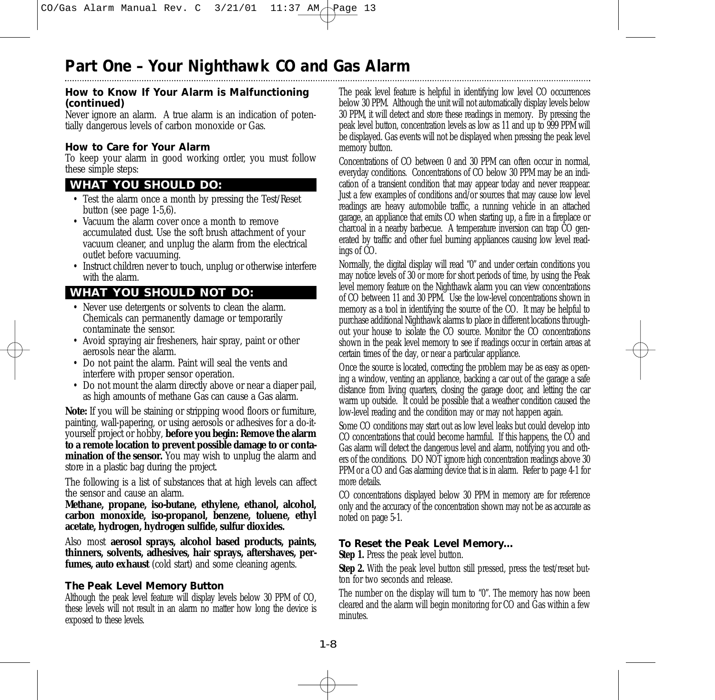#### **How to Know If Your Alarm is Malfunctioning (continued)**

Never ignore an alarm. A true alarm is an indication of potentially dangerous levels of carbon monoxide or Gas.

### **How to Care for Your Alarm**

To keep your alarm in good working order, you must follow these simple steps:

## **WHAT YOU SHOULD DO:**

- Test the alarm once a month by pressing the Test/Reset button (see page 1-5,6).
- Vacuum the alarm cover once a month to remove accumulated dust. Use the soft brush attachment of your vacuum cleaner, and unplug the alarm from the electrical outlet before vacuuming.
- Instruct children never to touch, unplug or otherwise interfere with the alarm.

## **WHAT YOU SHOULD NOT DO:**

- Never use detergents or solvents to clean the alarm. Chemicals can permanently damage or temporarily contaminate the sensor.
- Avoid spraying air fresheners, hair spray, paint or other aerosols near the alarm.
- Do not paint the alarm. Paint will seal the vents and interfere with proper sensor operation.
- Do not mount the alarm directly above or near a diaper pail, as high amounts of methane Gas can cause a Gas alarm.

**Note:** If you will be staining or stripping wood floors or furniture, painting, wall-papering, or using aerosols or adhesives for a do-ityourself project or hobby, **before you begin: Remove the alarm to a remote location to prevent possible damage to or contamination of the sensor.** You may wish to unplug the alarm and store in a plastic bag during the project.

The following is a list of substances that at high levels can affect the sensor and cause an alarm.

**Methane, propane, iso-butane, ethylene, ethanol, alcohol, carbon monoxide, iso-propanol, benzene, toluene, ethyl acetate, hydrogen, hydrogen sulfide, sulfur dioxides.** 

Also most **aerosol sprays, alcohol based products, paints, thinners, solvents, adhesives, hair sprays, aftershaves, perfumes, auto exhaust** (cold start) and some cleaning agents.

#### **The Peak Level Memory Button**

Although the peak level feature will display levels below 30 PPM of CO, these levels will not result in an alarm no matter how long the device is exposed to these levels.

The peak level feature is helpful in identifying low level CO occurrences below 30 PPM. Although the unit will not automatically display levels below 30 PPM, it will detect and store these readings in memory. By pressing the peak level button, concentration levels as low as 11 and up to 999 PPM will be displayed. Gas events will not be displayed when pressing the peak level memory button.

Concentrations of CO between 0 and 30 PPM can often occur in normal, everyday conditions. Concentrations of CO below 30 PPM may be an indication of a transient condition that may appear today and never reappear. Just a few examples of conditions and/or sources that may cause low level readings are heavy automobile traffic, a running vehicle in an attached garage, an appliance that emits CO when starting up, a fire in a fireplace or charcoal in a nearby barbecue. A temperature inversion can trap CO generated by traffic and other fuel burning appliances causing low level readings of CO.

Normally, the digital display will read "0" and under certain conditions you may notice levels of 30 or more for short periods of time, by using the Peak level memory feature on the Nighthawk alarm you can view concentrations of CO between 11 and 30 PPM. Use the low-level concentrations shown in memory as a tool in identifying the source of the CO. It may be helpful to purchase additional Nighthawk alarms to place in different locations throughout your house to isolate the CO source. Monitor the CO concentrations shown in the peak level memory to see if readings occur in certain areas at certain times of the day, or near a particular appliance.

Once the source is located, correcting the problem may be as easy as opening a window, venting an appliance, backing a car out of the garage a safe distance from living quarters, closing the garage door, and letting the car warm up outside. It could be possible that a weather condition caused the low-level reading and the condition may or may not happen again.

Some CO conditions may start out as low level leaks but could develop into CO concentrations that could become harmful. If this happens, the CO and Gas alarm will detect the dangerous level and alarm, notifying you and others of the conditions. DO NOT ignore high concentration readings above 30 PPM or a CO and Gas alarming device that is in alarm. Refer to page 4-1 for more details.

CO concentrations displayed below 30 PPM in memory are for reference only and the accuracy of the concentration shown may not be as accurate as noted on page 5-1.

#### **To Reset the Peak Level Memory…**

**Step 1.** Press the peak level button.

**Step 2.** With the peak level button still pressed, press the test/reset button for two seconds and release.

The number on the display will turn to "0". The memory has now been cleared and the alarm will begin monitoring for CO and Gas within a few minutes.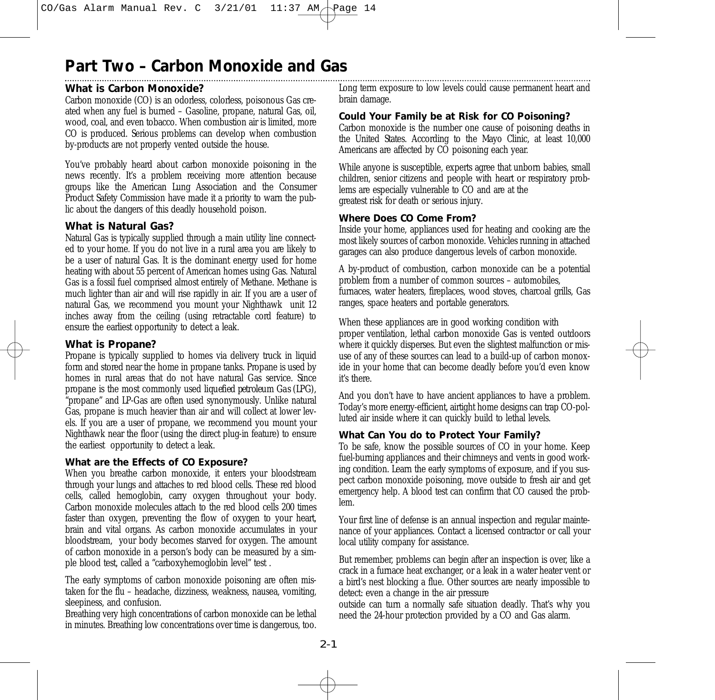# **Part Two – Carbon Monoxide and Gas**

## **What is Carbon Monoxide?**

Carbon monoxide (CO) is an odorless, colorless, poisonous Gas created when any fuel is burned – Gasoline, propane, natural Gas, oil, wood, coal, and even tobacco. When combustion air is limited, more CO is produced. Serious problems can develop when combustion by-products are not properly vented outside the house.

You've probably heard about carbon monoxide poisoning in the news recently. It's a problem receiving more attention because groups like the American Lung Association and the Consumer Product Safety Commission have made it a priority to warn the public about the dangers of this deadly household poison.

### **What is Natural Gas?**

Natural Gas is typically supplied through a main utility line connected to your home. If you do not live in a rural area you are likely to be a user of natural Gas. It is the dominant energy used for home heating with about 55 percent of American homes using Gas. Natural Gas is a fossil fuel comprised almost entirely of Methane. Methane is much lighter than air and will rise rapidly in air. If you are a user of natural Gas, we recommend you mount your Nighthawk unit 12 inches away from the ceiling (using retractable cord feature) to ensure the earliest opportunity to detect a leak.

## **What is Propane?**

Propane is typically supplied to homes via delivery truck in liquid form and stored near the home in propane tanks. Propane is used by homes in rural areas that do not have natural Gas service. Since propane is the most commonly used *liquefied petroleum Gas (LPG),* "propane" and LP-Gas are often used synonymously. Unlike natural Gas, propane is much heavier than air and will collect at lower levels. If you are a user of propane, we recommend you mount your Nighthawk near the floor (using the direct plug-in feature) to ensure the earliest opportunity to detect a leak.

#### **What are the Effects of CO Exposure?**

When you breathe carbon monoxide, it enters your bloodstream through your lungs and attaches to red blood cells. These red blood cells, called hemoglobin, carry oxygen throughout your body. Carbon monoxide molecules attach to the red blood cells 200 times faster than oxygen, preventing the flow of oxygen to your heart, brain and vital organs. As carbon monoxide accumulates in your bloodstream, your body becomes starved for oxygen. The amount of carbon monoxide in a person's body can be measured by a simple blood test, called a "carboxyhemoglobin level" test .

The early symptoms of carbon monoxide poisoning are often mistaken for the flu – headache, dizziness, weakness, nausea, vomiting, sleepiness, and confusion.

Breathing very high concentrations of carbon monoxide can be lethal in minutes. Breathing low concentrations over time is dangerous, too.

Long term exposure to low levels could cause permanent heart and brain damage.

### **Could Your Family be at Risk for CO Poisoning?**

Carbon monoxide is the number one cause of poisoning deaths in the United States. According to the Mayo Clinic, at least 10,000 Americans are affected by CO poisoning each year.

While anyone is susceptible, experts agree that unborn babies, small children, senior citizens and people with heart or respiratory problems are especially vulnerable to CO and are at the greatest risk for death or serious injury.

#### **Where Does CO Come From?**

Inside your home, appliances used for heating and cooking are the most likely sources of carbon monoxide. Vehicles running in attached garages can also produce dangerous levels of carbon monoxide.

A by-product of combustion, carbon monoxide can be a potential problem from a number of common sources – automobiles, furnaces, water heaters, fireplaces, wood stoves, charcoal grills, Gas ranges, space heaters and portable generators.

When these appliances are in good working condition with proper ventilation, lethal carbon monoxide Gas is vented outdoors where it quickly disperses. But even the slightest malfunction or misuse of any of these sources can lead to a build-up of carbon monoxide in your home that can become deadly before you'd even know it's there.

And you don't have to have ancient appliances to have a problem. Today's more energy-efficient, airtight home designs can trap CO-polluted air inside where it can quickly build to lethal levels.

#### **What Can You do to Protect Your Family?**

To be safe, know the possible sources of CO in your home. Keep fuel-burning appliances and their chimneys and vents in good working condition. Learn the early symptoms of exposure, and if you suspect carbon monoxide poisoning, move outside to fresh air and get emergency help. A blood test can confirm that CO caused the problem.

Your first line of defense is an annual inspection and regular maintenance of your appliances. Contact a licensed contractor or call your local utility company for assistance.

But remember, problems can begin after an inspection is over, like a crack in a furnace heat exchanger, or a leak in a water heater vent or a bird's nest blocking a flue. Other sources are nearly impossible to detect: even a change in the air pressure

outside can turn a normally safe situation deadly. That's why you need the 24-hour protection provided by a CO and Gas alarm.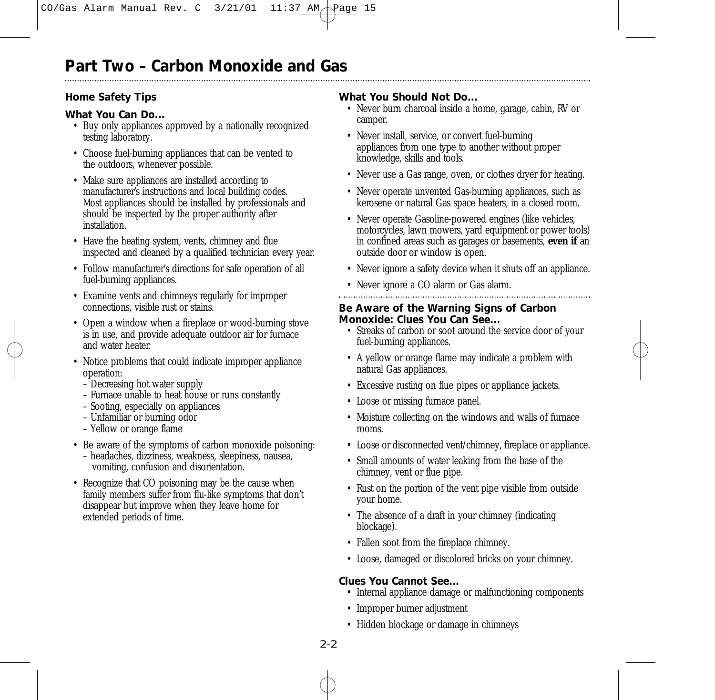## **Home Safety Tips**

## **What You Can Do...**

- Buy only appliances approved by a nationally recognized testing laboratory.
- Choose fuel-burning appliances that can be vented to the outdoors, whenever possible.
- Make sure appliances are installed according to manufacturer's instructions and local building codes. Most appliances should be installed by professionals and should be inspected by the proper authority after installation.
- Have the heating system, vents, chimney and flue inspected and cleaned by a qualified technician every year.
- Follow manufacturer's directions for safe operation of all fuel-burning appliances.
- Examine vents and chimneys regularly for improper connections, visible rust or stains.
- Open a window when a fireplace or wood-burning stove is in use, and provide adequate outdoor air for furnace and water heater.
- Notice problems that could indicate improper appliance operation:
	- Decreasing hot water supply
	- Furnace unable to heat house or runs constantly
	- Sooting, especially on appliances
	- Unfamiliar or burning odor
	- Yellow or orange flame
- Be aware of the symptoms of carbon monoxide poisoning: – headaches, dizziness, weakness, sleepiness, nausea,
	- vomiting, confusion and disorientation.
- Recognize that CO poisoning may be the cause when family members suffer from flu-like symptoms that don't disappear but improve when they leave home for extended periods of time.

### **What You Should Not Do...**

- Never burn charcoal inside a home, garage, cabin, RV or camper.
- Never install, service, or convert fuel-burning appliances from one type to another without proper knowledge, skills and tools.
- Never use a Gas range, oven, or clothes dryer for heating.
- Never operate unvented Gas-burning appliances, such as kerosene or natural Gas space heaters, in a closed room.
- Never operate Gasoline-powered engines (like vehicles, motorcycles, lawn mowers, yard equipment or power tools) in confined areas such as garages or basements, **even if** an outside door or window is open.
- Never ignore a safety device when it shuts off an appliance.
- Never ignore a CO alarm or Gas alarm.

### **Be Aware of the Warning Signs of Carbon Monoxide: Clues You Can See...**

- Streaks of carbon or soot around the service door of your fuel-burning appliances.
- A yellow or orange flame may indicate a problem with natural Gas appliances.
- Excessive rusting on flue pipes or appliance jackets.
- Loose or missing furnace panel.
- Moisture collecting on the windows and walls of furnace rooms.
- Loose or disconnected vent/chimney, fireplace or appliance.
- Small amounts of water leaking from the base of the chimney, vent or flue pipe.
- Rust on the portion of the vent pipe visible from outside your home.
- The absence of a draft in your chimney (indicating blockage).
- Fallen soot from the fireplace chimney.
- Loose, damaged or discolored bricks on your chimney.

## **Clues You Cannot See...**

- Internal appliance damage or malfunctioning components
- Improper burner adjustment
- Hidden blockage or damage in chimneys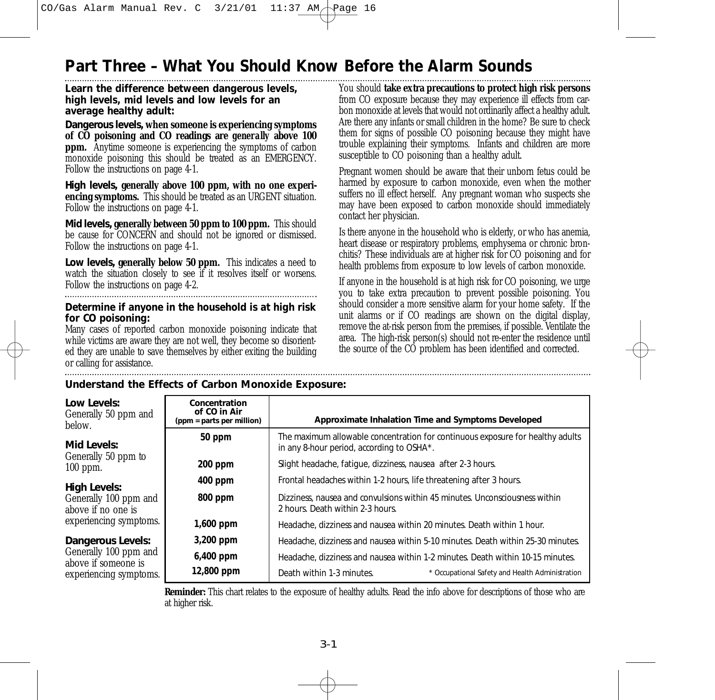# **Part Three – What You Should Know Before the Alarm Sounds**

#### **Learn the difference between dangerous levels, high levels, mid levels and low levels for an average healthy adult:**

*Dangerous levels,* **when someone is experiencing symptoms of CO poisoning and CO readings are** *generally* **above 100 ppm.** Anytime someone is experiencing the symptoms of carbon monoxide poisoning this should be treated as an EMERGENCY. Follow the instructions on page 4-1.

*High levels,* **generally above 100 ppm, with no one experiencing symptoms.** This should be treated as an URGENT situation. Follow the instructions on page 4-1.

*Mid levels,* **generally between 50 ppm to 100 ppm.** This should be cause for CONCERN and should not be ignored or dismissed. Follow the instructions on page 4-1.

*Low levels,* **generally below 50 ppm.** This indicates a need to watch the situation closely to see if it resolves itself or worsens. Follow the instructions on page 4-2.

#### **Determine if anyone in the household is at high risk for CO poisoning:**

Many cases of reported carbon monoxide poisoning indicate that while victims are aware they are not well, they become so disoriented they are unable to save themselves by either exiting the building or calling for assistance.

You should **take extra precautions to protect high risk persons** from CO exposure because they may experience ill effects from carbon monoxide at levels that would not ordinarily affect a healthy adult. Are there any infants or small children in the home? Be sure to check them for signs of possible CO poisoning because they might have trouble explaining their symptoms. Infants and children are more susceptible to CO poisoning than a healthy adult.

Pregnant women should be aware that their unborn fetus could be harmed by exposure to carbon monoxide, even when the mother suffers no ill effect herself. Any pregnant woman who suspects she may have been exposed to carbon monoxide should immediately contact her physician.

Is there anyone in the household who is elderly, or who has anemia, heart disease or respiratory problems, emphysema or chronic bronchitis? These individuals are at higher risk for CO poisoning and for health problems from exposure to low levels of carbon monoxide.

If anyone in the household is at high risk for CO poisoning, we urge you to take extra precaution to prevent possible poisoning. You should consider a more sensitive alarm for your home safety. If the unit alarms or if CO readings are shown on the digital display, remove the at-risk person from the premises, if possible. Ventilate the area. The high-risk person(s) should not re-enter the residence until the source of the CO problem has been identified and corrected.

### **Understand the Effects of Carbon Monoxide Exposure:**

| Low Levels:<br>Generally 50 ppm and<br>below. | Concentration<br>of CO in Air<br>(ppm = parts per million) | Approximate Inhalation Time and Symptoms Developed                                                                          |  |  |
|-----------------------------------------------|------------------------------------------------------------|-----------------------------------------------------------------------------------------------------------------------------|--|--|
| Mid Levels:                                   | 50 ppm                                                     | The maximum allowable concentration for continuous exposure for healthy adults<br>in any 8-hour period, according to OSHA*. |  |  |
| Generally 50 ppm to<br>$100$ ppm.             | $200$ ppm                                                  | Slight headache, fatique, dizziness, nausea after 2-3 hours.                                                                |  |  |
| <b>High Levels:</b>                           | $400$ ppm                                                  | Frontal headaches within 1-2 hours, life threatening after 3 hours.                                                         |  |  |
| Generally 100 ppm and<br>above if no one is   | 800 ppm                                                    | Dizziness, nausea and convulsions within 45 minutes. Unconsciousness within<br>2 hours. Death within 2-3 hours.             |  |  |
| experiencing symptoms.                        | 1,600 ppm                                                  | Headache, dizziness and nausea within 20 minutes. Death within 1 hour.                                                      |  |  |
| Dangerous Levels:                             | 3,200 ppm                                                  | Headache, dizziness and nausea within 5-10 minutes. Death within 25-30 minutes.                                             |  |  |
| Generally 100 ppm and<br>above if someone is  | $6,400$ ppm                                                | Headache, dizziness and nausea within 1-2 minutes. Death within 10-15 minutes.                                              |  |  |
| experiencing symptoms.                        | 12,800 ppm                                                 | Death within 1-3 minutes.<br>* Occupational Safety and Health Administration                                                |  |  |

**Reminder:** This chart relates to the exposure of healthy adults. Read the info above for descriptions of those who are at higher risk.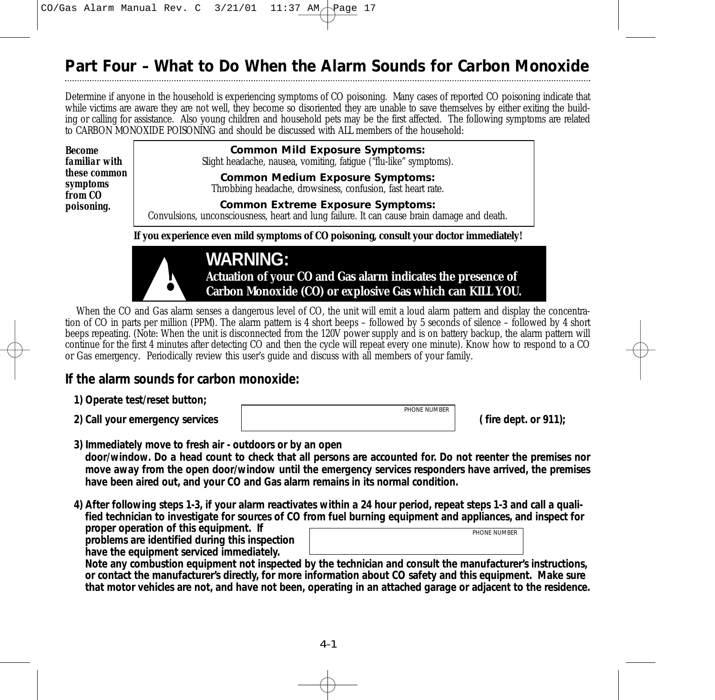# **Part Four – What to Do When the Alarm Sounds for Carbon Monoxide**

Determine if anyone in the household is experiencing symptoms of CO poisoning. Many cases of reported CO poisoning indicate that while victims are aware they are not well, they become so disoriented they are unable to save themselves by either exiting the building or calling for assistance. Also young children and household pets may be the first affected. The following symptoms are related to CARBON MONOXIDE POISONING and should be discussed with ALL members of the household:

| <b>Become</b><br>familiar with             | <b>Common Mild Exposure Symptoms:</b><br>Slight headache, nausea, vomiting, fatigue ("flu-like" symptoms).                             |  |  |
|--------------------------------------------|----------------------------------------------------------------------------------------------------------------------------------------|--|--|
| <i>these common</i><br>symptoms<br>from CO | <b>Common Medium Exposure Symptoms:</b><br>Throbbing headache, drowsiness, confusion, fast heart rate.                                 |  |  |
| poisoning.                                 | <b>Common Extreme Exposure Symptoms:</b><br>Convulsions, unconsciousness, heart and lung failure. It can cause brain damage and death. |  |  |
|                                            | If you experience even mild symptoms of CO poisoning, consult your doctor immediately!                                                 |  |  |
|                                            | <b>WARNING:</b>                                                                                                                        |  |  |



**WARNING:**<br> **CARNING:**<br> **CARDON MONOXIGE (CO) or explosive Gas which can KILL YOU. Actuation of your CO and Gas alarm indicates the presence of**

When the CO and Gas alarm senses a dangerous level of CO, the unit will emit a loud alarm pattern and display the concentration of CO in parts per million (PPM). The alarm pattern is 4 short beeps – followed by 5 seconds of silence – followed by 4 short beeps repeating. (Note: When the unit is disconnected from the 120V power supply and is on battery backup, the alarm pattern will continue for the first 4 minutes after detecting CO and then the cycle will repeat every one minute). Know how to respond to a CO or Gas emergency. Periodically review this user's guide and discuss with all members of your family.

# **If the alarm sounds for carbon monoxide:**

- **1) Operate test/reset button;**
- 

**2) Call your emergency services ( fire dept. or 911);** *PHONE NUMBER*

- **3) Immediately move to fresh air outdoors or by an open door/window. Do a head count to check that all persons are accounted for. Do not reenter the premises nor move away from the open door/window until the emergency services responders have arrived, the premises have been aired out, and your CO and Gas alarm remains in its normal condition.**
- **4) After following steps 1-3, if your alarm reactivates within a 24 hour period, repeat steps 1-3 and call a qualified technician to investigate for sources of CO from fuel burning equipment and appliances, and inspect for**

**proper operation of this equipment. If problems are identified during this inspection have the equipment serviced immediately.** 

| PHONE NUMBER |
|--------------|
|              |

**Note any combustion equipment not inspected by the technician and consult the manufacturer's instructions, or contact the manufacturer's directly, for more information about CO safety and this equipment. Make sure that motor vehicles are not, and have not been, operating in an attached garage or adjacent to the residence.**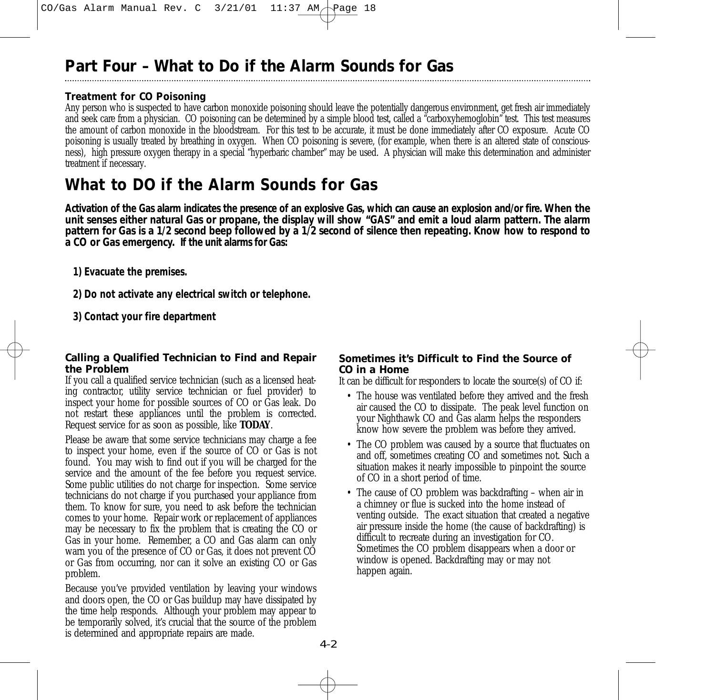# **Part Four – What to Do if the Alarm Sounds for Gas**

## **Treatment for CO Poisoning**

Any person who is suspected to have carbon monoxide poisoning should leave the potentially dangerous environment, get fresh air immediately and seek care from a physician. CO poisoning can be determined by a simple blood test, called a "carboxyhemoglobin" test. This test measures the amount of carbon monoxide in the bloodstream. For this test to be accurate, it must be done immediately after CO exposure. Acute CO poisoning is usually treated by breathing in oxygen. When CO poisoning is severe, (for example, when there is an altered state of consciousness), high pressure oxygen therapy in a special "hyperbaric chamber" may be used. A physician will make this determination and administer treatment if necessary.

# **What to DO if the Alarm Sounds for Gas**

**Activation of the Gas alarm indicates the presence of an explosive Gas, which can cause an explosion and/or fire. When the unit senses either natural Gas or propane, the display will show "GAS" and emit a loud alarm pattern. The alarm pattern for Gas is a 1/2 second beep followed by a 1/2 second of silence then repeating. Know how to respond to a CO or Gas emergency. If the unit alarms for Gas:**

- **1) Evacuate the premises.**
- **2) Do not activate any electrical switch or telephone.**
- **3) Contact your fire department**

#### **Calling a Qualified Technician to Find and Repair the Problem**

If you call a qualified service technician (such as a licensed heating contractor, utility service technician or fuel provider) to inspect your home for possible sources of CO or Gas leak. Do not restart these appliances until the problem is corrected. Request service for as soon as possible, like **TODAY**.

Please be aware that some service technicians may charge a fee to inspect your home, even if the source of CO or Gas is not found. You may wish to find out if you will be charged for the service and the amount of the fee before you request service. Some public utilities do not charge for inspection. Some service technicians do not charge if you purchased your appliance from them. To know for sure, you need to ask before the technician comes to your home. Repair work or replacement of appliances may be necessary to fix the problem that is creating the CO or Gas in your home. Remember, a CO and Gas alarm can only warn you of the presence of CO or Gas, it does not prevent CO or Gas from occurring, nor can it solve an existing CO or Gas problem.

Because you've provided ventilation by leaving your windows and doors open, the CO or Gas buildup may have dissipated by the time help responds. Although your problem may appear to be temporarily solved, it's crucial that the source of the problem is determined and appropriate repairs are made.

### **Sometimes it's Difficult to Find the Source of CO in a Home**

It can be difficult for responders to locate the source(s) of CO if:

- The house was ventilated before they arrived and the fresh air caused the CO to dissipate. The peak level function on your Nighthawk CO and Gas alarm helps the responders know how severe the problem was before they arrived.
- The CO problem was caused by a source that fluctuates on and off, sometimes creating CO and sometimes not. Such a situation makes it nearly impossible to pinpoint the source of CO in a short period of time.
- The cause of CO problem was backdrafting when air in a chimney or flue is sucked into the home instead of venting outside. The exact situation that created a negative air pressure inside the home (the cause of backdrafting) is difficult to recreate during an investigation for CO. Sometimes the CO problem disappears when a door or window is opened. Backdrafting may or may not happen again.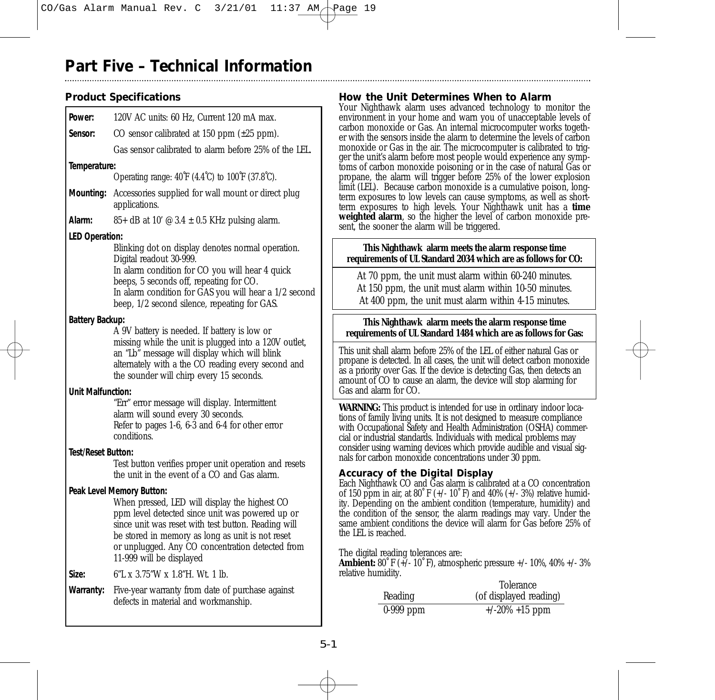# **Part Five – Technical Information**

# **Product Specifications**

| Power:                    | 120V AC units: 60 Hz, Current 120 mA max.                                                                                                                                                                                                                                                   |
|---------------------------|---------------------------------------------------------------------------------------------------------------------------------------------------------------------------------------------------------------------------------------------------------------------------------------------|
| Sensor:                   | CO sensor calibrated at $150$ ppm $(\pm 25$ ppm).                                                                                                                                                                                                                                           |
|                           | Gas sensor calibrated to alarm before 25% of the LEL.                                                                                                                                                                                                                                       |
| Temperature:              |                                                                                                                                                                                                                                                                                             |
|                           | Operating range: $40^{\circ}$ F (4.4 $^{\circ}$ C) to $100^{\circ}$ F (37.8 $^{\circ}$ C).                                                                                                                                                                                                  |
| Mounting:                 | Accessories supplied for wall mount or direct plug<br>applications.                                                                                                                                                                                                                         |
| Alarm:                    | 85+ dB at 10' $\odot$ 3.4 $\pm$ 0.5 KHz pulsing alarm.                                                                                                                                                                                                                                      |
| <b>LED Operation:</b>     |                                                                                                                                                                                                                                                                                             |
|                           | Blinking dot on display denotes normal operation.<br>Digital readout 30-999.<br>In alarm condition for CO you will hear 4 quick<br>beeps, 5 seconds off, repeating for CO.<br>In alarm condition for GAS you will hear a 1/2 second<br>beep, 1/2 second silence, repeating for GAS.         |
| Battery Backup:           |                                                                                                                                                                                                                                                                                             |
|                           | A 9V battery is needed. If battery is low or<br>missing while the unit is plugged into a 120V outlet,<br>an "Lb" message will display which will blink<br>alternately with a the CO reading every second and<br>the sounder will chirp every 15 seconds.                                    |
| <b>Unit Malfunction:</b>  |                                                                                                                                                                                                                                                                                             |
|                           | "Err" error message will display. Intermittent<br>alarm will sound every 30 seconds.<br>Refer to pages 1-6, 6-3 and 6-4 for other error<br>conditions.                                                                                                                                      |
| <b>Test/Reset Button:</b> |                                                                                                                                                                                                                                                                                             |
|                           | Test button verifies proper unit operation and resets<br>the unit in the event of a CO and Gas alarm.                                                                                                                                                                                       |
|                           | Peak Level Memory Button:                                                                                                                                                                                                                                                                   |
|                           | When pressed, LED will display the highest CO<br>ppm level detected since unit was powered up or<br>since unit was reset with test button. Reading will<br>be stored in memory as long as unit is not reset<br>or unplugged. Any CO concentration detected from<br>11-999 will be displayed |
| Size:                     | 6"L x 3.75"W x 1.8"H, Wt. 1 lb.                                                                                                                                                                                                                                                             |
| Warranty:                 | Five-year warranty from date of purchase against<br>defects in material and workmanship.                                                                                                                                                                                                    |

### **How the Unit Determines When to Alarm**

Your Nighthawk alarm uses advanced technology to monitor the environment in your home and warn you of unacceptable levels of carbon monoxide or Gas. An internal microcomputer works together with the sensors inside the alarm to determine the levels of carbon monoxide or Gas in the air. The microcomputer is calibrated to trigger the unit's alarm before most people would experience any symptoms of carbon monoxide poisoning or in the case of natural Gas or propane, the alarm will trigger before 25% of the lower explosion limit (LEL). Because carbon monoxide is a cumulative poison, longterm exposures to low levels can cause symptoms, as well as shortterm exposures to high levels. Your Nighthawk unit has a **time weighted alarm**, so the higher the level of carbon monoxide present, the sooner the alarm will be triggered.

#### **This Nighthawk alarm meets the alarm response time requirements of UL Standard 2034 which are as follows for CO:**

At 70 ppm, the unit must alarm within 60-240 minutes. At 150 ppm, the unit must alarm within 10-50 minutes. At 400 ppm, the unit must alarm within 4-15 minutes.

#### **This Nighthawk alarm meets the alarm response time requirements of UL Standard 1484 which are as follows for Gas:**

This unit shall alarm before 25% of the LEL of either natural Gas or propane is detected. In all cases, the unit will detect carbon monoxide as a priority over Gas. If the device is detecting Gas, then detects an amount of CO to cause an alarm, the device will stop alarming for Gas and alarm for CO.

**WARNING:** This product is intended for use in ordinary indoor locations of family living units. It is not designed to measure compliance with Occupational Safety and Health Administration (OSHA) commercial or industrial standards. Individuals with medical problems may consider using warning devices which provide audible and visual signals for carbon monoxide concentrations under 30 ppm.

### **Accuracy of the Digital Display**

Each Nighthawk CO and Gas alarm is calibrated at a CO concentration of 150 ppm in air, at 80° F (+/- 10° F) and 40% (+/- 3%) relative humidity. Depending on the ambient condition (temperature, humidity) and the condition of the sensor, the alarm readings may vary. Under the same ambient conditions the device will alarm for Gas before 25% of the LEL is reached.

The digital reading tolerances are:

**Ambient:** 80° F (+ $\frac{1}{2}$ - 10° F), atmospheric pressure + $\frac{10\%}{40\%}$  + $\frac{10\%}{50\%}$  +/- 3% relative humidity.

|             | Tolerance              |
|-------------|------------------------|
| Reading     | (of displayed reading) |
| $0-999$ ppm | $+/-20\% +15$ ppm      |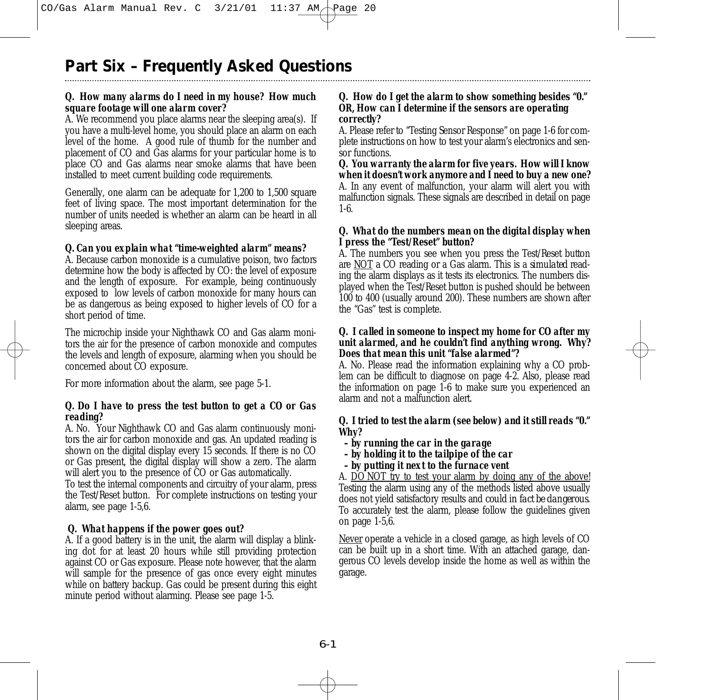# **Part Six – Frequently Asked Questions**

### *Q. How many alarms do I need in my house? How much square footage will one alarm cover?*

A. We recommend you place alarms near the sleeping area(s). If you have a multi-level home, you should place an alarm on each level of the home. A good rule of thumb for the number and placement of CO and Gas alarms for your particular home is to place CO and Gas alarms near smoke alarms that have been installed to meet current building code requirements.

Generally, one alarm can be adequate for 1,200 to 1,500 square feet of living space. The most important determination for the number of units needed is whether an alarm can be heard in all sleeping areas.

### *Q. Can you explain what "time-weighted alarm" means?*

A. Because carbon monoxide is a cumulative poison, two factors determine how the body is affected by CO: the level of exposure and the length of exposure. For example, being continuously exposed to low levels of carbon monoxide for many hours can be as dangerous as being exposed to higher levels of CO for a short period of time.

The microchip inside your Nighthawk CO and Gas alarm monitors the air for the presence of carbon monoxide and computes the levels and length of exposure, alarming when you should be concerned about CO exposure.

For more information about the alarm, see page 5-1.

#### *Q. Do I have to press the test button to get a CO or Gas reading?*

A. No. Your Nighthawk CO and Gas alarm continuously monitors the air for carbon monoxide and gas. An updated reading is shown on the digital display every 15 seconds. If there is no CO or Gas present, the digital display will show a zero. The alarm will alert you to the presence of CO or Gas automatically.

To test the internal components and circuitry of your alarm, press the Test/Reset button. For complete instructions on testing your alarm, see page 1-5,6.

#### *Q. What happens if the power goes out?*

A. If a good battery is in the unit, the alarm will display a blinking dot for at least 20 hours while still providing protection against CO or Gas exposure. Please note however, that the alarm will sample for the presence of gas once every eight minutes while on battery backup. Gas could be present during this eight minute period without alarming. Please see page 1-5.

#### *Q. How do I get the alarm to show something besides "0." OR, How can I determine if the sensors are operating correctly?*

A. Please refer to "Testing Sensor Response" on page 1-6 for complete instructions on how to test your alarm's electronics and sensor functions.

*Q. You warranty the alarm for five years. How will I know when it doesn't work anymore and I need to buy a new one?* A. In any event of malfunction, your alarm will alert you with malfunction signals. These signals are described in detail on page 1-6.

#### *Q. What do the numbers mean on the digital display when I press the "Test/Reset" button?*

A. The numbers you see when you press the Test/Reset button are NOT a CO reading or a Gas alarm. This is a *simulated* reading the alarm displays as it tests its electronics. The numbers displayed when the Test/Reset button is pushed should be between 100 to 400 (usually around 200). These numbers are shown after the "Gas" test is complete.

#### *Q. I called in someone to inspect my home for CO after my unit alarmed, and he couldn't find anything wrong. Why? Does that mean this unit "false alarmed"?*

A. No. Please read the information explaining why a CO problem can be difficult to diagnose on page 4-2. Also, please read the information on page 1-6 to make sure you experienced an alarm and not a malfunction alert.

#### *Q. I tried to test the alarm (see below) and it still reads "0." Why?*

- *by running the car in the garage*
- *by holding it to the tailpipe of the car*
- *by putting it next to the furnace vent*

A. DO NOT try to test your alarm by doing any of the above! Testing the alarm using any of the methods listed above usually does not yield satisfactory results and *could in fact be dangerous*. To accurately test the alarm, please follow the guidelines given on page 1-5,6.

Never operate a vehicle in a closed garage, as high levels of CO can be built up in a short time. With an attached garage, dangerous CO levels develop inside the home as well as within the garage.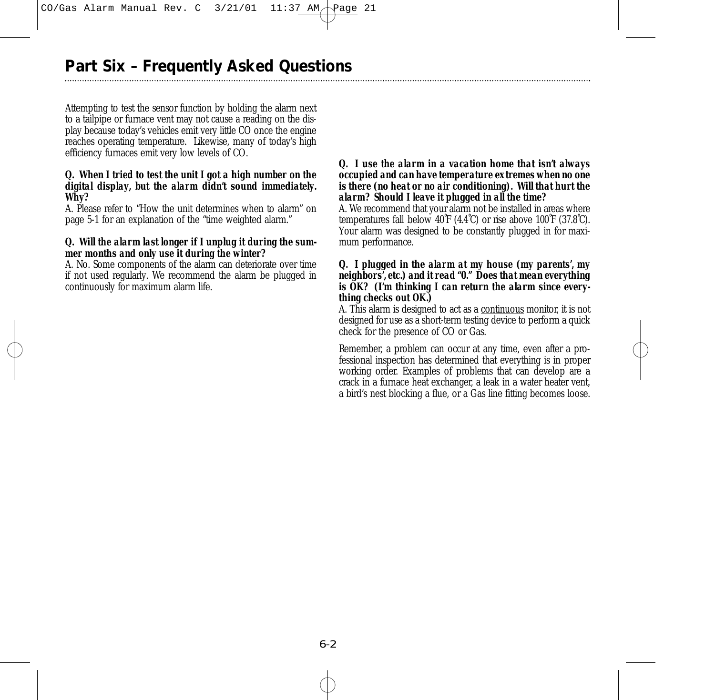# **Part Six – Frequently Asked Questions**

Attempting to test the sensor function by holding the alarm next to a tailpipe or furnace vent may not cause a reading on the display because today's vehicles emit very little CO once the engine reaches operating temperature. Likewise, many of today's high efficiency furnaces emit very low levels of CO.

#### *Q. When I tried to test the unit I got a high number on the digital display, but the alarm didn't sound immediately. Why?*

A. Please refer to "How the unit determines when to alarm" on page 5-1 for an explanation of the "time weighted alarm."

#### *Q. Will the alarm last longer if I unplug it during the summer months and only use it during the winter?*

A. No. Some components of the alarm can deteriorate over time if not used regularly. We recommend the alarm be plugged in continuously for maximum alarm life.

#### *Q. I use the alarm in a vacation home that isn't always occupied and can have temperature extremes when no one is there (no heat or no air conditioning). Will that hurt the alarm? Should I leave it plugged in all the time?*

A. We recommend that your alarm not be installed in areas where temperatures fall below 40˚F (4.4˚C) or rise above 100˚F (37.8˚C). Your alarm was designed to be constantly plugged in for maximum performance.

#### *Q. I plugged in the alarm at my house (my parents', my neighbors', etc.) and it read "0." Does that mean everything is OK? (I'm thinking I can return the alarm since everything checks out OK.)*

A. This alarm is designed to act as a continuous monitor, it is not designed for use as a short-term testing device to perform a quick check for the presence of CO or Gas.

Remember, a problem can occur at any time, even after a professional inspection has determined that everything is in proper working order. Examples of problems that can develop are a crack in a furnace heat exchanger, a leak in a water heater vent, a bird's nest blocking a flue, or a Gas line fitting becomes loose.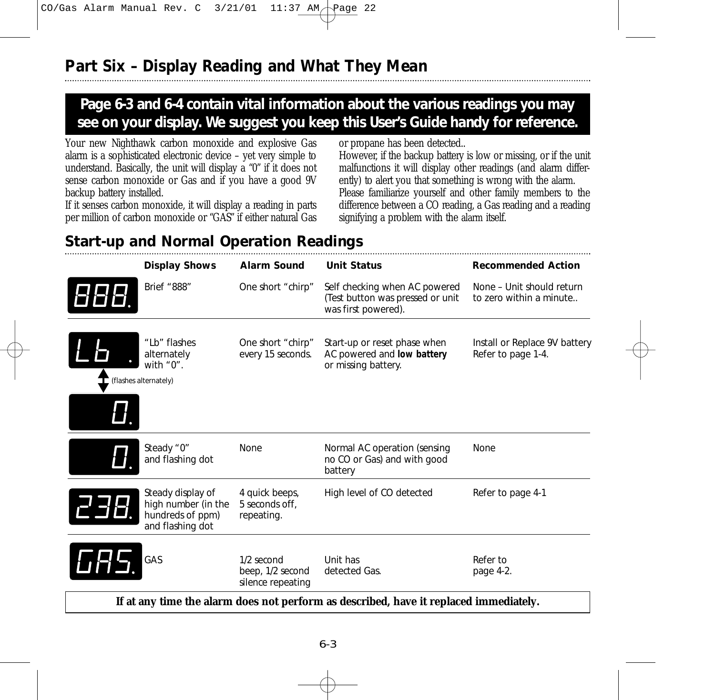# **Page 6-3 and 6-4 contain vital information about the various readings you may see on your display. We suggest you keep this User's Guide handy for reference.**

Your new Nighthawk carbon monoxide and explosive Gas alarm is a sophisticated electronic device – yet very simple to understand. Basically, the unit will display a "0" if it does not sense carbon monoxide or Gas and if you have a good 9V backup battery installed.

If it senses carbon monoxide, it will display a reading in parts per million of carbon monoxide or "GAS" if either natural Gas or propane has been detected..

However, if the backup battery is low or missing, or if the unit malfunctions it will display other readings (and alarm differently) to alert you that something is wrong with the alarm. Please familiarize yourself and other family members to the difference between a CO reading, a Gas reading and a reading signifying a problem with the alarm itself.

# **Start-up and Normal Operation Readings**

| <b>Display Shows</b>                                                             | <b>Alarm Sound</b>                                  | <b>Unit Status</b>                                                                       | <b>Recommended Action</b>                            |
|----------------------------------------------------------------------------------|-----------------------------------------------------|------------------------------------------------------------------------------------------|------------------------------------------------------|
| Brief "888"                                                                      | One short "chirp"                                   | Self checking when AC powered<br>(Test button was pressed or unit<br>was first powered). | None - Unit should return<br>to zero within a minute |
| "Lb" flashes<br>alternately<br>with $"0"$ .<br>(flashes alternately)             | One short "chirp"<br>every 15 seconds.              | Start-up or reset phase when<br>AC powered and low battery<br>or missing battery.        | Install or Replace 9V battery<br>Refer to page 1-4.  |
| Steady "0"<br>and flashing dot                                                   | <b>None</b>                                         | Normal AC operation (sensing<br>no CO or Gas) and with good<br>battery                   | None                                                 |
| Steady display of<br>high number (in the<br>hundreds of ppm)<br>and flashing dot | 4 quick beeps,<br>5 seconds off.<br>repeating.      | High level of CO detected                                                                | Refer to page 4-1                                    |
| GAS                                                                              | 1/2 second<br>beep, 1/2 second<br>silence repeating | Unit has<br>detected Gas.                                                                | Refer to<br>page 4-2.                                |
|                                                                                  |                                                     | If at any time the alarm does not perform as described, have it replaced immediately.    |                                                      |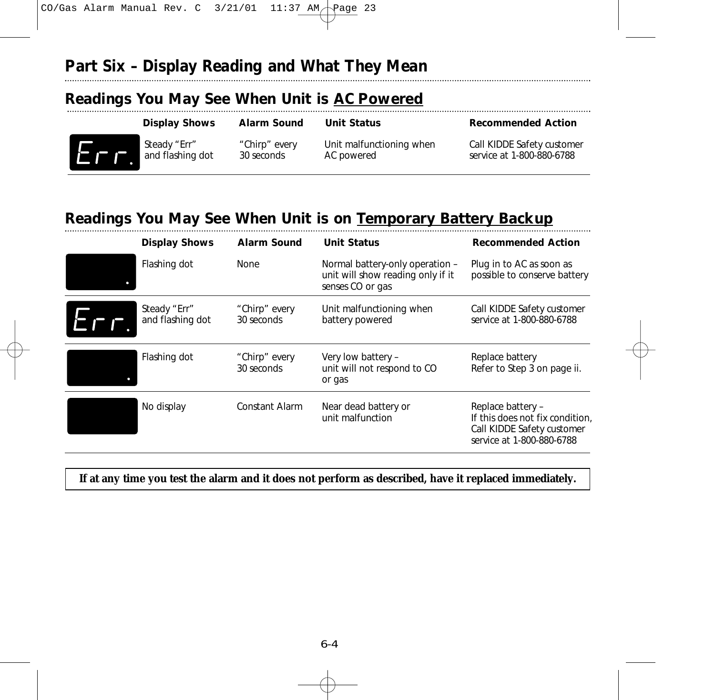# **Part Six – Display Reading and What They Mean**

# **Readings You May See When Unit is AC Powered**

| <b>Display Shows</b> | <b>Alarm Sound</b> | <b>Unit Status</b>       | <b>Recommended Action</b>  |
|----------------------|--------------------|--------------------------|----------------------------|
| Steady "Err"         | "Chirp" every      | Unit malfunctioning when | Call KIDDE Safety customer |
| and flashing dot     | 30 seconds         | AC powered               | service at 1-800-880-6788  |

# **Readings You May See When Unit is on Temporary Battery Backup**

| <b>Display Shows</b>             | <b>Alarm Sound</b>          | <b>Unit Status</b>                                                                       | <b>Recommended Action</b>                                                                                       |
|----------------------------------|-----------------------------|------------------------------------------------------------------------------------------|-----------------------------------------------------------------------------------------------------------------|
| Flashing dot                     | None                        | Normal battery-only operation -<br>unit will show reading only if it<br>senses CO or gas | Plug in to AC as soon as<br>possible to conserve battery                                                        |
| Steady "Err"<br>and flashing dot | "Chirp" every<br>30 seconds | Unit malfunctioning when<br>battery powered                                              | Call KIDDE Safety customer<br>service at 1-800-880-6788                                                         |
| Flashing dot                     | "Chirp" every<br>30 seconds | Very low battery -<br>unit will not respond to CO<br>or gas                              | Replace battery<br>Refer to Step 3 on page ii.                                                                  |
| No display                       | <b>Constant Alarm</b>       | Near dead battery or<br>unit malfunction                                                 | Replace battery -<br>If this does not fix condition,<br>Call KIDDE Safety customer<br>service at 1-800-880-6788 |

# **If at any time you test the alarm and it does not perform as described, have it replaced immediately.**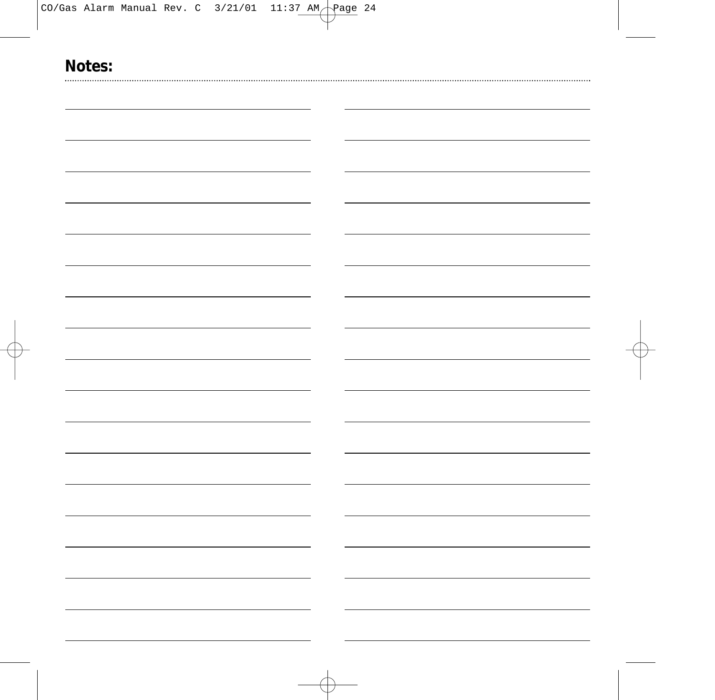| - |  |
|---|--|
|   |  |
|   |  |
|   |  |
|   |  |
|   |  |
|   |  |
|   |  |
|   |  |
|   |  |
|   |  |
|   |  |
|   |  |
|   |  |
|   |  |
|   |  |
|   |  |
|   |  |
|   |  |
|   |  |
|   |  |
|   |  |
|   |  |
|   |  |
|   |  |
|   |  |
|   |  |
|   |  |
|   |  |
|   |  |
|   |  |
|   |  |
|   |  |
|   |  |
|   |  |
|   |  |
|   |  |
|   |  |
|   |  |
|   |  |
|   |  |
|   |  |
|   |  |
|   |  |
|   |  |
|   |  |
|   |  |
|   |  |
|   |  |
|   |  |
|   |  |
|   |  |
|   |  |
|   |  |
|   |  |
|   |  |
|   |  |
|   |  |
|   |  |
|   |  |
|   |  |
|   |  |
|   |  |
|   |  |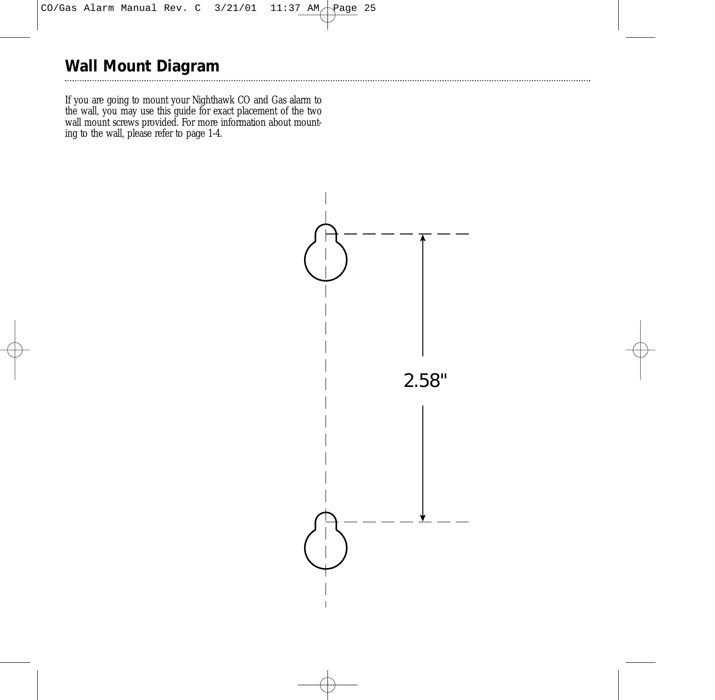# **Wall Mount Diagram**

If you are going to mount your Nighthawk CO and Gas alarm to the wall, you may use this guide for exact placement of the two wall mount screws provided. For more information about mounting to the wall, please refer to page 1-4.